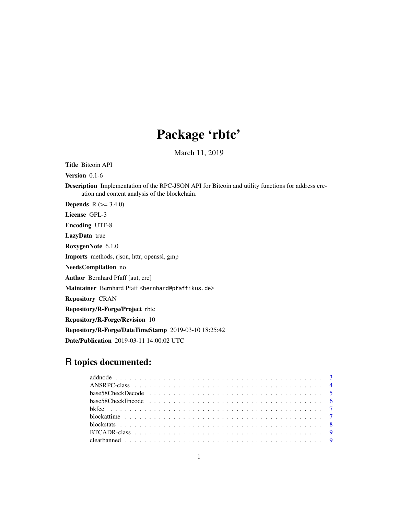# Package 'rbtc'

March 11, 2019

Title Bitcoin API

Version 0.1-6

Description Implementation of the RPC-JSON API for Bitcoin and utility functions for address creation and content analysis of the blockchain.

**Depends**  $R (= 3.4.0)$ 

License GPL-3 Encoding UTF-8

LazyData true

RoxygenNote 6.1.0

Imports methods, rjson, httr, openssl, gmp

NeedsCompilation no

Author Bernhard Pfaff [aut, cre]

Maintainer Bernhard Pfaff <bernhard@pfaffikus.de>

Repository CRAN

Repository/R-Forge/Project rbtc

Repository/R-Forge/Revision 10

Repository/R-Forge/DateTimeStamp 2019-03-10 18:25:42

Date/Publication 2019-03-11 14:00:02 UTC

## R topics documented: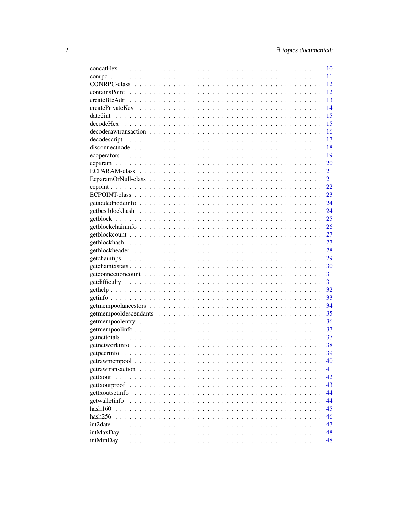|                 | 10  |
|-----------------|-----|
|                 | 11  |
|                 | 12  |
|                 | 12  |
|                 | 13  |
|                 | 14  |
|                 | 15  |
|                 | 15  |
|                 | 16  |
|                 | 17  |
|                 | 18  |
|                 | -19 |
|                 | 20  |
|                 | 21  |
|                 | 21  |
|                 | 22  |
|                 | 23  |
|                 | 24  |
|                 | 24  |
|                 | 25  |
|                 | 26  |
|                 | 27  |
|                 | 27  |
|                 |     |
|                 |     |
|                 |     |
|                 | 31  |
|                 | 31  |
|                 | -32 |
|                 |     |
|                 |     |
|                 | 35  |
|                 | -36 |
|                 | 37  |
|                 | 37  |
|                 | 38  |
|                 | 39  |
|                 | 40  |
|                 | 41  |
|                 | 42  |
| gettxoutproof   | 43  |
| gettxoutsetinfo | 44  |
| getwalletinfo   | 44  |
| hash160         | 45  |
| hash256         | 46  |
| int2date        | 47  |
| intMaxDay       | 48  |
|                 | 48  |
|                 |     |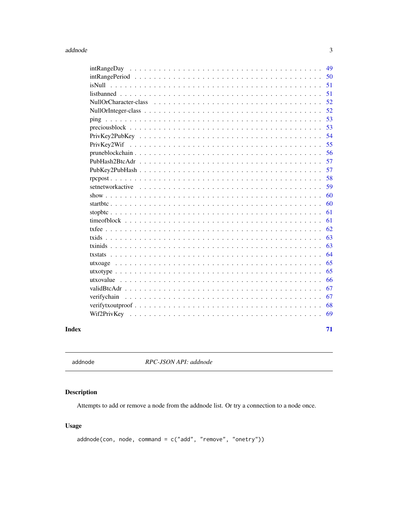### <span id="page-2-0"></span>addnode

|                                                                                                                  | 49 |
|------------------------------------------------------------------------------------------------------------------|----|
|                                                                                                                  | 50 |
|                                                                                                                  | 51 |
|                                                                                                                  | 51 |
|                                                                                                                  | 52 |
|                                                                                                                  | 52 |
|                                                                                                                  | 53 |
|                                                                                                                  | 53 |
| $PrivKey2PubKey \dots \dots \dots \dots \dots \dots \dots \dots \dots \dots \dots \dots \dots \dots \dots \dots$ | 54 |
|                                                                                                                  | 55 |
|                                                                                                                  | 56 |
|                                                                                                                  | 57 |
|                                                                                                                  | 57 |
|                                                                                                                  | 58 |
|                                                                                                                  | 59 |
|                                                                                                                  | 60 |
|                                                                                                                  | 60 |
|                                                                                                                  | 61 |
|                                                                                                                  | 61 |
|                                                                                                                  | 62 |
|                                                                                                                  | 63 |
|                                                                                                                  | 63 |
|                                                                                                                  | 64 |
|                                                                                                                  | 65 |
|                                                                                                                  | 65 |
|                                                                                                                  | 66 |
|                                                                                                                  | 67 |
| verifychain                                                                                                      | 67 |
|                                                                                                                  | 68 |
|                                                                                                                  | 69 |
|                                                                                                                  |    |
|                                                                                                                  | 71 |
|                                                                                                                  |    |

## **Index**

<span id="page-2-1"></span>addnode

RPC-JSON API: addnode

### Description

Attempts to add or remove a node from the addnode list. Or try a connection to a node once.

### **Usage**

```
addnode(con, node, command = c("add", "remove", "onetry"))
```
 $\ensuremath{\mathfrak{Z}}$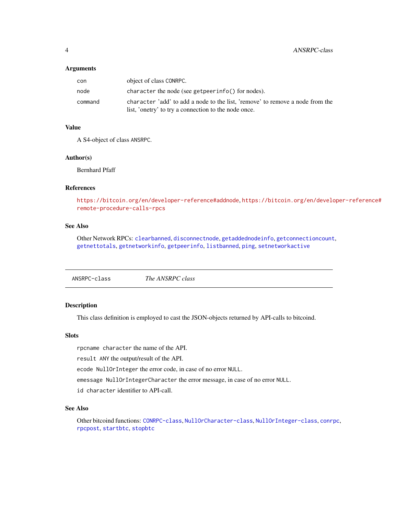#### <span id="page-3-0"></span>**Arguments**

| con     | object of class CONRPC.                                                       |
|---------|-------------------------------------------------------------------------------|
| node    | character the node (see get peer in $f$ o $()$ for nodes).                    |
| command | character 'add' to add a node to the list, 'remove' to remove a node from the |
|         | list, 'onetry' to try a connection to the node once.                          |

### Value

A S4-object of class ANSRPC.

#### Author(s)

Bernhard Pfaff

### References

<https://bitcoin.org/en/developer-reference#addnode>, [https://bitcoin.org/en/develo](https://bitcoin.org/en/developer-reference#remote-procedure-calls-rpcs)per-reference# [remote-procedure-calls-rpcs](https://bitcoin.org/en/developer-reference#remote-procedure-calls-rpcs)

### See Also

Other Network RPCs: [clearbanned](#page-8-1), [disconnectnode](#page-17-1), [getaddednodeinfo](#page-23-1), [getconnectioncount](#page-30-1), [getnettotals](#page-36-1), [getnetworkinfo](#page-37-1), [getpeerinfo](#page-38-1), [listbanned](#page-50-1), [ping](#page-52-1), [setnetworkactive](#page-58-1)

<span id="page-3-1"></span>

| ANSRPC-class | The ANSRPC class |  |
|--------------|------------------|--|
|--------------|------------------|--|

#### Description

This class definition is employed to cast the JSON-objects returned by API-calls to bitcoind.

### Slots

rpcname character the name of the API.

result ANY the output/result of the API.

ecode NullOrInteger the error code, in case of no error NULL.

emessage NullOrIntegerCharacter the error message, in case of no error NULL.

id character identifier to API-call.

### See Also

Other bitcoind functions: [CONRPC-class](#page-11-1), [NullOrCharacter-class](#page-51-1), [NullOrInteger-class](#page-51-2), [conrpc](#page-10-1), [rpcpost](#page-57-1), [startbtc](#page-59-1), [stopbtc](#page-60-1)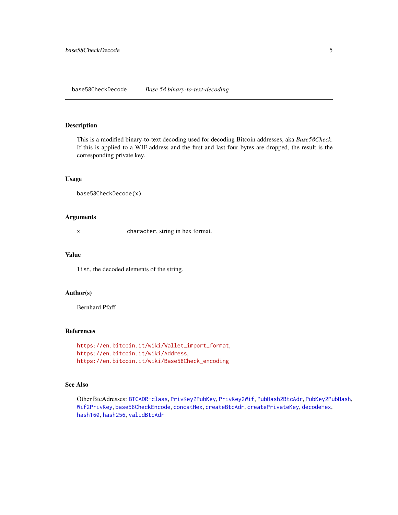<span id="page-4-1"></span><span id="page-4-0"></span>This is a modified binary-to-text decoding used for decoding Bitcoin addresses, aka *Base58Check*. If this is applied to a WIF address and the first and last four bytes are dropped, the result is the corresponding private key.

### Usage

```
base58CheckDecode(x)
```
#### Arguments

x character, string in hex format.

### Value

list, the decoded elements of the string.

### Author(s)

Bernhard Pfaff

#### References

```
https://en.bitcoin.it/wiki/Wallet_import_format,
https://en.bitcoin.it/wiki/Address,
https://en.bitcoin.it/wiki/Base58Check_encoding
```
#### See Also

Other BtcAdresses: [BTCADR-class](#page-8-2), [PrivKey2PubKey](#page-53-1), [PrivKey2Wif](#page-54-1), [PubHash2BtcAdr](#page-56-1), [PubKey2PubHash](#page-56-2), [Wif2PrivKey](#page-68-1), [base58CheckEncode](#page-5-1), [concatHex](#page-9-1), [createBtcAdr](#page-12-1), [createPrivateKey](#page-13-1), [decodeHex](#page-14-1), [hash160](#page-44-1), [hash256](#page-45-1), [validBtcAdr](#page-66-1)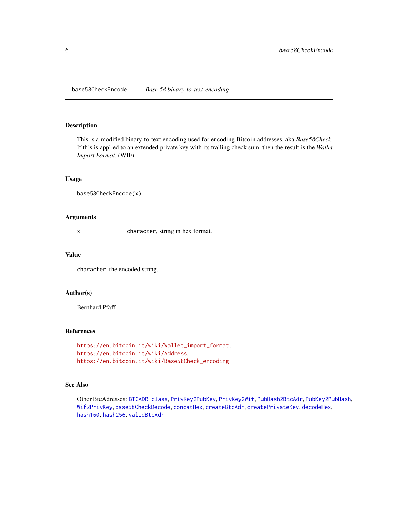<span id="page-5-1"></span><span id="page-5-0"></span>base58CheckEncode *Base 58 binary-to-text-encoding*

### Description

This is a modified binary-to-text encoding used for encoding Bitcoin addresses, aka *Base58Check*. If this is applied to an extended private key with its trailing check sum, then the result is the *Wallet Import Format*, (WIF).

### Usage

base58CheckEncode(x)

#### Arguments

x character, string in hex format.

#### Value

character, the encoded string.

### Author(s)

Bernhard Pfaff

#### References

```
https://en.bitcoin.it/wiki/Wallet_import_format,
https://en.bitcoin.it/wiki/Address,
https://en.bitcoin.it/wiki/Base58Check_encoding
```
#### See Also

Other BtcAdresses: [BTCADR-class](#page-8-2), [PrivKey2PubKey](#page-53-1), [PrivKey2Wif](#page-54-1), [PubHash2BtcAdr](#page-56-1), [PubKey2PubHash](#page-56-2), [Wif2PrivKey](#page-68-1), [base58CheckDecode](#page-4-1), [concatHex](#page-9-1), [createBtcAdr](#page-12-1), [createPrivateKey](#page-13-1), [decodeHex](#page-14-1), [hash160](#page-44-1), [hash256](#page-45-1), [validBtcAdr](#page-66-1)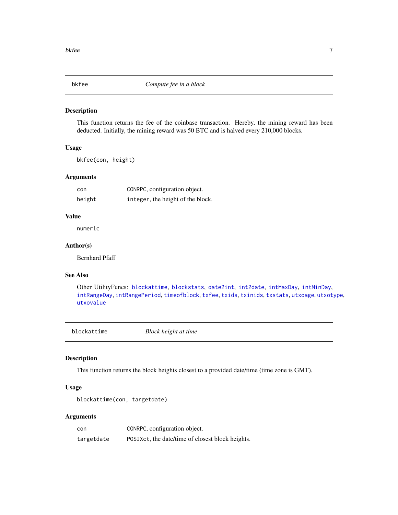<span id="page-6-2"></span><span id="page-6-0"></span>

This function returns the fee of the coinbase transaction. Hereby, the mining reward has been deducted. Initially, the mining reward was 50 BTC and is halved every 210,000 blocks.

#### Usage

bkfee(con, height)

### Arguments

| con    | CONRPC, configuration object.     |
|--------|-----------------------------------|
| height | integer, the height of the block. |

#### Value

numeric

#### Author(s)

Bernhard Pfaff

### See Also

Other UtilityFuncs: [blockattime](#page-6-1), [blockstats](#page-7-1), [date2int](#page-14-2), [int2date](#page-46-1), [intMaxDay](#page-47-1), [intMinDay](#page-47-2), [intRangeDay](#page-48-1), [intRangePeriod](#page-49-1), [timeofblock](#page-60-2), [txfee](#page-61-1), [txids](#page-62-1), [txinids](#page-62-2), [txstats](#page-63-1), [utxoage](#page-64-1), [utxotype](#page-64-2), [utxovalue](#page-65-1)

<span id="page-6-1"></span>blockattime *Block height at time*

### Description

This function returns the block heights closest to a provided date/time (time zone is GMT).

#### Usage

```
blockattime(con, targetdate)
```
#### Arguments

| con        | CONRPC, configuration object.                    |
|------------|--------------------------------------------------|
| targetdate | POSIXCt, the date/time of closest block heights. |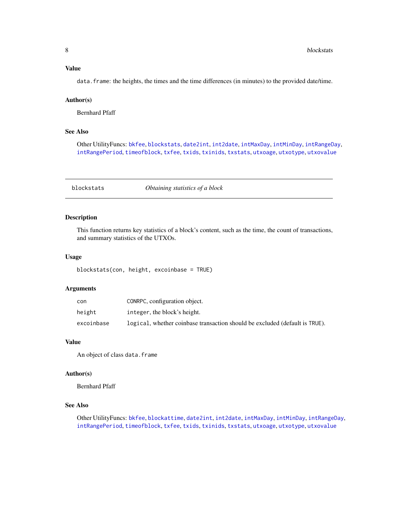#### <span id="page-7-0"></span>Value

data. frame: the heights, the times and the time differences (in minutes) to the provided date/time.

### Author(s)

Bernhard Pfaff

#### See Also

Other UtilityFuncs: [bkfee](#page-6-2), [blockstats](#page-7-1), [date2int](#page-14-2), [int2date](#page-46-1), [intMaxDay](#page-47-1), [intMinDay](#page-47-2), [intRangeDay](#page-48-1), [intRangePeriod](#page-49-1), [timeofblock](#page-60-2), [txfee](#page-61-1), [txids](#page-62-1), [txinids](#page-62-2), [txstats](#page-63-1), [utxoage](#page-64-1), [utxotype](#page-64-2), [utxovalue](#page-65-1)

<span id="page-7-1"></span>blockstats *Obtaining statistics of a block*

#### Description

This function returns key statistics of a block's content, such as the time, the count of transactions, and summary statistics of the UTXOs.

### Usage

blockstats(con, height, excoinbase = TRUE)

#### Arguments

| con        | CONRPC, configuration object.                                               |
|------------|-----------------------------------------------------------------------------|
| height     | integer, the block's height.                                                |
| excoinbase | logical, whether coinbase transaction should be excluded (default is TRUE). |

### Value

An object of class data.frame

#### Author(s)

Bernhard Pfaff

#### See Also

Other UtilityFuncs: [bkfee](#page-6-2), [blockattime](#page-6-1), [date2int](#page-14-2), [int2date](#page-46-1), [intMaxDay](#page-47-1), [intMinDay](#page-47-2), [intRangeDay](#page-48-1), [intRangePeriod](#page-49-1), [timeofblock](#page-60-2), [txfee](#page-61-1), [txids](#page-62-1), [txinids](#page-62-2), [txstats](#page-63-1), [utxoage](#page-64-1), [utxotype](#page-64-2), [utxovalue](#page-65-1)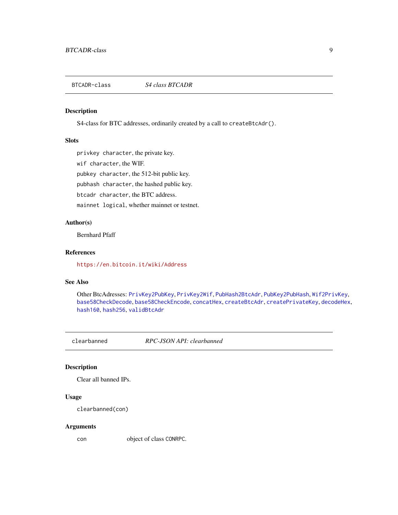<span id="page-8-2"></span><span id="page-8-0"></span>BTCADR-class *S4 class BTCADR*

### Description

S4-class for BTC addresses, ordinarily created by a call to createBtcAdr().

### **Slots**

privkey character, the private key.

wif character, the WIF.

pubkey character, the 512-bit public key.

pubhash character, the hashed public key.

btcadr character, the BTC address.

mainnet logical, whether mainnet or testnet.

### Author(s)

Bernhard Pfaff

#### References

<https://en.bitcoin.it/wiki/Address>

#### See Also

Other BtcAdresses: [PrivKey2PubKey](#page-53-1), [PrivKey2Wif](#page-54-1), [PubHash2BtcAdr](#page-56-1), [PubKey2PubHash](#page-56-2), [Wif2PrivKey](#page-68-1), [base58CheckDecode](#page-4-1), [base58CheckEncode](#page-5-1), [concatHex](#page-9-1), [createBtcAdr](#page-12-1), [createPrivateKey](#page-13-1), [decodeHex](#page-14-1), [hash160](#page-44-1), [hash256](#page-45-1), [validBtcAdr](#page-66-1)

<span id="page-8-1"></span>

clearbanned *RPC-JSON API: clearbanned*

### Description

Clear all banned IPs.

### Usage

clearbanned(con)

#### Arguments

con object of class CONRPC.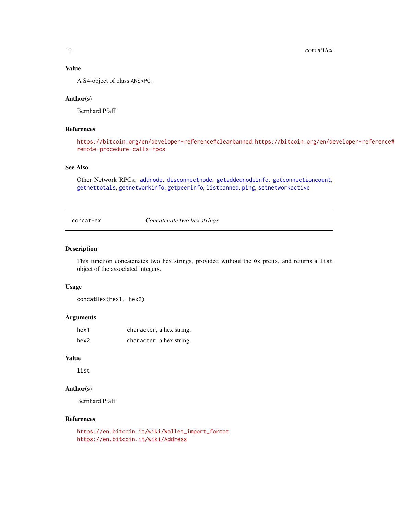<span id="page-9-0"></span>10 concatHex

### Value

A S4-object of class ANSRPC.

#### Author(s)

Bernhard Pfaff

### References

```
https://bitcoin.org/en/developer-reference#clearbanned, https://bitcoin.org/en/developer-reference#
remote-procedure-calls-rpcs
```
### See Also

Other Network RPCs: [addnode](#page-2-1), [disconnectnode](#page-17-1), [getaddednodeinfo](#page-23-1), [getconnectioncount](#page-30-1), [getnettotals](#page-36-1), [getnetworkinfo](#page-37-1), [getpeerinfo](#page-38-1), [listbanned](#page-50-1), [ping](#page-52-1), [setnetworkactive](#page-58-1)

<span id="page-9-1"></span>concatHex *Concatenate two hex strings*

#### Description

This function concatenates two hex strings, provided without the 0x prefix, and returns a list object of the associated integers.

#### Usage

concatHex(hex1, hex2)

#### Arguments

| hex1 | character, a hex string. |
|------|--------------------------|
| hex2 | character, a hex string. |

### Value

list

### Author(s)

Bernhard Pfaff

#### References

```
https://en.bitcoin.it/wiki/Wallet_import_format,
https://en.bitcoin.it/wiki/Address
```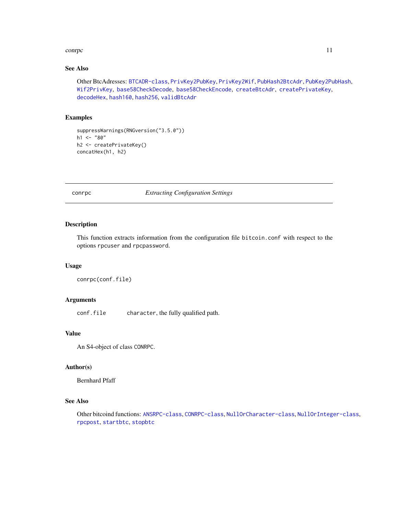#### <span id="page-10-0"></span>conrection to the contract of the contract of the contract of the contract of the contract of the contract of the contract of the contract of the contract of the contract of the contract of the contract of the contract of

### See Also

Other BtcAdresses: [BTCADR-class](#page-8-2), [PrivKey2PubKey](#page-53-1), [PrivKey2Wif](#page-54-1), [PubHash2BtcAdr](#page-56-1), [PubKey2PubHash](#page-56-2), [Wif2PrivKey](#page-68-1), [base58CheckDecode](#page-4-1), [base58CheckEncode](#page-5-1), [createBtcAdr](#page-12-1), [createPrivateKey](#page-13-1), [decodeHex](#page-14-1), [hash160](#page-44-1), [hash256](#page-45-1), [validBtcAdr](#page-66-1)

### Examples

```
suppressWarnings(RNGversion("3.5.0"))
h1 < - "80"
h2 <- createPrivateKey()
concatHex(h1, h2)
```
### <span id="page-10-1"></span>conrpc *Extracting Configuration Settings*

### Description

This function extracts information from the configuration file bitcoin.conf with respect to the options rpcuser and rpcpassword.

#### Usage

```
conrpc(conf.file)
```
### Arguments

conf.file character, the fully qualified path.

#### Value

An S4-object of class CONRPC.

#### Author(s)

Bernhard Pfaff

### See Also

Other bitcoind functions: [ANSRPC-class](#page-3-1), [CONRPC-class](#page-11-1), [NullOrCharacter-class](#page-51-1), [NullOrInteger-class](#page-51-2), [rpcpost](#page-57-1), [startbtc](#page-59-1), [stopbtc](#page-60-1)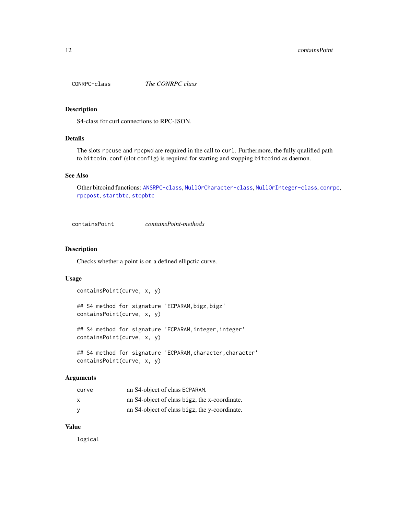<span id="page-11-1"></span><span id="page-11-0"></span>

S4-class for curl connections to RPC-JSON.

### Details

The slots rpcuse and rpcpwd are required in the call to curl. Furthermore, the fully qualified path to bitcoin.conf (slot config) is required for starting and stopping bitcoind as daemon.

### See Also

Other bitcoind functions: [ANSRPC-class](#page-3-1), [NullOrCharacter-class](#page-51-1), [NullOrInteger-class](#page-51-2), [conrpc](#page-10-1), [rpcpost](#page-57-1), [startbtc](#page-59-1), [stopbtc](#page-60-1)

<span id="page-11-2"></span>containsPoint *containsPoint-methods*

#### Description

Checks whether a point is on a defined ellipctic curve.

### Usage

```
containsPoint(curve, x, y)
## S4 method for signature 'ECPARAM, bigz, bigz'
containsPoint(curve, x, y)
## S4 method for signature 'ECPARAM, integer, integer'
containsPoint(curve, x, y)
## S4 method for signature 'ECPARAM, character, character'
containsPoint(curve, x, y)
```
#### Arguments

| curve | an S4-object of class ECPARAM.                |
|-------|-----------------------------------------------|
| x     | an S4-object of class bigz, the x-coordinate. |
| ٧     | an S4-object of class bigz, the y-coordinate. |

#### Value

logical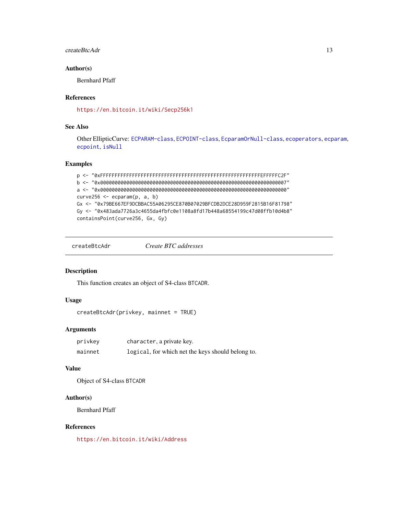#### <span id="page-12-0"></span>createBtcAdr 13

### Author(s)

Bernhard Pfaff

### References

<https://en.bitcoin.it/wiki/Secp256k1>

### See Also

Other EllipticCurve: [ECPARAM-class](#page-20-1), [ECPOINT-class](#page-22-1), [EcparamOrNull-class](#page-20-2), [ecoperators](#page-18-1), [ecparam](#page-19-1), [ecpoint](#page-21-1), [isNull](#page-50-2)

#### Examples

```
p <- "0xFFFFFFFFFFFFFFFFFFFFFFFFFFFFFFFFFFFFFFFFFFFFFFFFFFFFFFFEFFFFFC2F"
b <- "0x0000000000000000000000000000000000000000000000000000000000000007"
a <- "0x0000000000000000000000000000000000000000000000000000000000000000"
curve256 \leq ecparam(p, a, b)Gx <- "0x79BE667EF9DCBBAC55A06295CE870B07029BFCDB2DCE28D959F2815B16F81798"
Gy <- "0x483ada7726a3c4655da4fbfc0e1108a8fd17b448a68554199c47d08ffb10d4b8"
containsPoint(curve256, Gx, Gy)
```

```
createBtcAdr Create BTC addresses
```
#### Description

This function creates an object of S4-class BTCADR.

#### Usage

```
createBtcAdr(privkey, mainnet = TRUE)
```
#### Arguments

| privkev | character, a private key.                         |
|---------|---------------------------------------------------|
| mainnet | logical, for which net the keys should belong to. |

### Value

Object of S4-class BTCADR

### Author(s)

Bernhard Pfaff

#### References

<https://en.bitcoin.it/wiki/Address>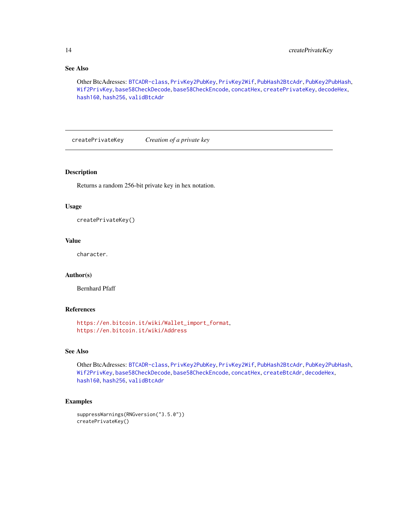### See Also

Other BtcAdresses: [BTCADR-class](#page-8-2), [PrivKey2PubKey](#page-53-1), [PrivKey2Wif](#page-54-1), [PubHash2BtcAdr](#page-56-1), [PubKey2PubHash](#page-56-2), [Wif2PrivKey](#page-68-1), [base58CheckDecode](#page-4-1), [base58CheckEncode](#page-5-1), [concatHex](#page-9-1), [createPrivateKey](#page-13-1), [decodeHex](#page-14-1), [hash160](#page-44-1), [hash256](#page-45-1), [validBtcAdr](#page-66-1)

<span id="page-13-1"></span>createPrivateKey *Creation of a private key*

### Description

Returns a random 256-bit private key in hex notation.

#### Usage

createPrivateKey()

#### Value

character.

### Author(s)

Bernhard Pfaff

#### References

```
https://en.bitcoin.it/wiki/Wallet_import_format,
https://en.bitcoin.it/wiki/Address
```
### See Also

Other BtcAdresses: [BTCADR-class](#page-8-2), [PrivKey2PubKey](#page-53-1), [PrivKey2Wif](#page-54-1), [PubHash2BtcAdr](#page-56-1), [PubKey2PubHash](#page-56-2), [Wif2PrivKey](#page-68-1), [base58CheckDecode](#page-4-1), [base58CheckEncode](#page-5-1), [concatHex](#page-9-1), [createBtcAdr](#page-12-1), [decodeHex](#page-14-1), [hash160](#page-44-1), [hash256](#page-45-1), [validBtcAdr](#page-66-1)

### Examples

```
suppressWarnings(RNGversion("3.5.0"))
createPrivateKey()
```
<span id="page-13-0"></span>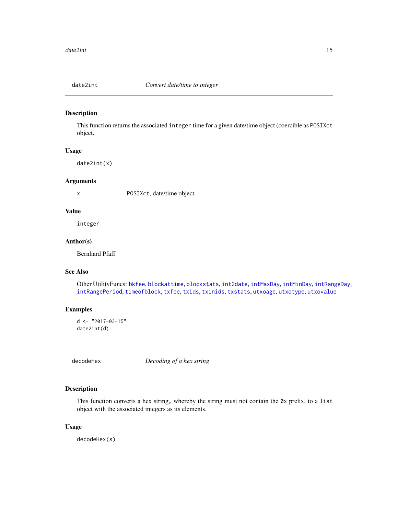<span id="page-14-2"></span><span id="page-14-0"></span>

This function returns the associated integer time for a given date/time object (coercible as POSIXct object.

#### Usage

date2int(x)

#### Arguments

x POSIXct, date/time object.

### Value

integer

### Author(s)

Bernhard Pfaff

### See Also

Other UtilityFuncs: [bkfee](#page-6-2), [blockattime](#page-6-1), [blockstats](#page-7-1), [int2date](#page-46-1), [intMaxDay](#page-47-1), [intMinDay](#page-47-2), [intRangeDay](#page-48-1), [intRangePeriod](#page-49-1), [timeofblock](#page-60-2), [txfee](#page-61-1), [txids](#page-62-1), [txinids](#page-62-2), [txstats](#page-63-1), [utxoage](#page-64-1), [utxotype](#page-64-2), [utxovalue](#page-65-1)

### Examples

 $d$  <- "2017-03-15" date2int(d)

<span id="page-14-1"></span>decodeHex *Decoding of a hex string*

### Description

This function converts a hex string,, whereby the string must not contain the  $\theta$ x prefix, to a list object with the associated integers as its elements.

### Usage

decodeHex(s)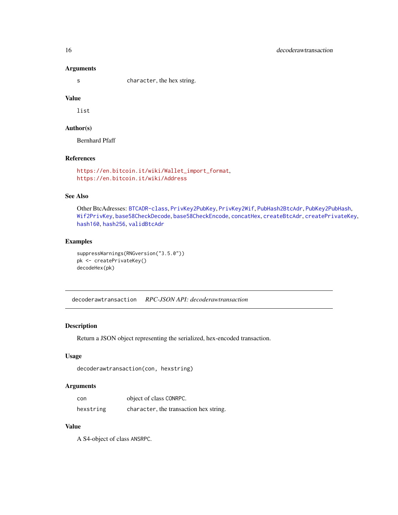#### Arguments

s character, the hex string.

### Value

list

### Author(s)

Bernhard Pfaff

### References

[https://en.bitcoin.it/wiki/Wallet\\_import\\_format](https://en.bitcoin.it/wiki/Wallet_import_format), <https://en.bitcoin.it/wiki/Address>

#### See Also

Other BtcAdresses: [BTCADR-class](#page-8-2), [PrivKey2PubKey](#page-53-1), [PrivKey2Wif](#page-54-1), [PubHash2BtcAdr](#page-56-1), [PubKey2PubHash](#page-56-2), [Wif2PrivKey](#page-68-1), [base58CheckDecode](#page-4-1), [base58CheckEncode](#page-5-1), [concatHex](#page-9-1), [createBtcAdr](#page-12-1), [createPrivateKey](#page-13-1), [hash160](#page-44-1), [hash256](#page-45-1), [validBtcAdr](#page-66-1)

#### Examples

```
suppressWarnings(RNGversion("3.5.0"))
pk <- createPrivateKey()
decodeHex(pk)
```
decoderawtransaction *RPC-JSON API: decoderawtransaction*

### Description

Return a JSON object representing the serialized, hex-encoded transaction.

### Usage

```
decoderawtransaction(con, hexstring)
```
### Arguments

| con       | object of class CONRPC.                |
|-----------|----------------------------------------|
| hexstring | character, the transaction hex string. |

### Value

A S4-object of class ANSRPC.

<span id="page-15-0"></span>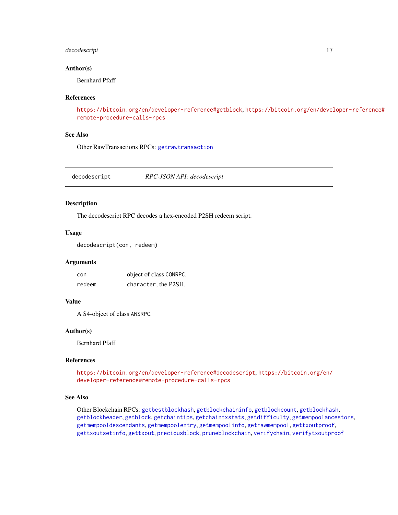### <span id="page-16-0"></span>decodescript 17

#### Author(s)

Bernhard Pfaff

#### References

```
https://bitcoin.org/en/developer-reference#getblock, https://bitcoin.org/en/developer-reference#
remote-procedure-calls-rpcs
```
#### See Also

Other RawTransactions RPCs: [getrawtransaction](#page-40-1)

<span id="page-16-1"></span>decodescript *RPC-JSON API: decodescript*

### Description

The decodescript RPC decodes a hex-encoded P2SH redeem script.

#### Usage

```
decodescript(con, redeem)
```
#### Arguments

| con    | object of class CONRPC. |
|--------|-------------------------|
| redeem | character, the P2SH.    |

#### Value

A S4-object of class ANSRPC.

#### Author(s)

Bernhard Pfaff

#### References

<https://bitcoin.org/en/developer-reference#decodescript>, [https://bitcoin.org/en/](https://bitcoin.org/en/developer-reference#remote-procedure-calls-rpcs) [developer-reference#remote-procedure-calls-rpcs](https://bitcoin.org/en/developer-reference#remote-procedure-calls-rpcs)

### See Also

Other Blockchain RPCs: [getbestblockhash](#page-23-2), [getblockchaininfo](#page-25-1), [getblockcount](#page-26-1), [getblockhash](#page-26-2), [getblockheader](#page-27-1), [getblock](#page-24-1), [getchaintips](#page-28-1), [getchaintxstats](#page-29-1), [getdifficulty](#page-30-2), [getmempoolancestors](#page-33-1), [getmempooldescendants](#page-34-1), [getmempoolentry](#page-35-1), [getmempoolinfo](#page-36-2), [getrawmempool](#page-39-1), [gettxoutproof](#page-42-1), [gettxoutsetinfo](#page-43-1), [gettxout](#page-41-1), [preciousblock](#page-52-2), [pruneblockchain](#page-55-1), [verifychain](#page-66-2), [verifytxoutproof](#page-67-1)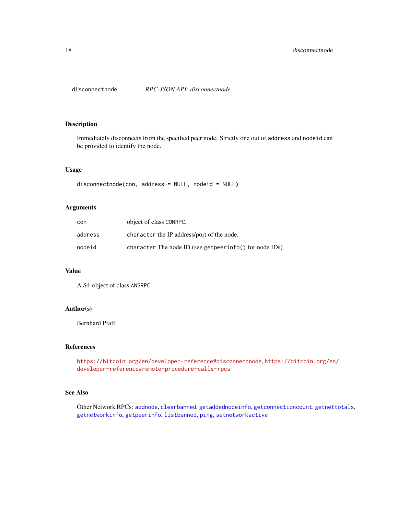<span id="page-17-1"></span><span id="page-17-0"></span>

Immediately disconnects from the specified peer node. Strictly one out of address and nodeid can be provided to identify the node.

### Usage

disconnectnode(con, address = NULL, nodeid = NULL)

### Arguments

| con     | object of class CONRPC.                                 |
|---------|---------------------------------------------------------|
| address | character the IP address/port of the node.              |
| nodeid  | character The node ID (see getpeerinfo() for node IDs). |

#### Value

A S4-object of class ANSRPC.

### Author(s)

Bernhard Pfaff

### References

<https://bitcoin.org/en/developer-reference#disconnectnode>, [https://bitcoin.org/en](https://bitcoin.org/en/developer-reference#remote-procedure-calls-rpcs)/ [developer-reference#remote-procedure-calls-rpcs](https://bitcoin.org/en/developer-reference#remote-procedure-calls-rpcs)

#### See Also

Other Network RPCs: [addnode](#page-2-1), [clearbanned](#page-8-1), [getaddednodeinfo](#page-23-1), [getconnectioncount](#page-30-1), [getnettotals](#page-36-1), [getnetworkinfo](#page-37-1), [getpeerinfo](#page-38-1), [listbanned](#page-50-1), [ping](#page-52-1), [setnetworkactive](#page-58-1)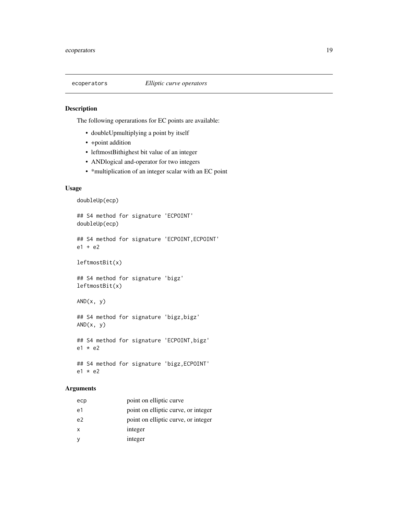<span id="page-18-1"></span><span id="page-18-0"></span>

The following operarations for EC points are available:

- doubleUpmultiplying a point by itself
- +point addition
- leftmostBithighest bit value of an integer
- ANDlogical and-operator for two integers
- \*multiplication of an integer scalar with an EC point

#### Usage

```
doubleUp(ecp)
```
## S4 method for signature 'ECPOINT' doubleUp(ecp)

## S4 method for signature 'ECPOINT,ECPOINT' e1 + e2

leftmostBit(x)

## S4 method for signature 'bigz' leftmostBit(x)

 $AND(x, y)$ 

## S4 method for signature 'bigz,bigz'  $AND(x, y)$ 

## S4 method for signature 'ECPOINT,bigz' e1 \* e2

## S4 method for signature 'bigz,ECPOINT' e1 \* e2

### Arguments

| ecp            | point on elliptic curve             |
|----------------|-------------------------------------|
| e1             | point on elliptic curve, or integer |
| e <sup>2</sup> | point on elliptic curve, or integer |
| $\mathsf{x}$   | integer                             |
| <b>V</b>       | integer                             |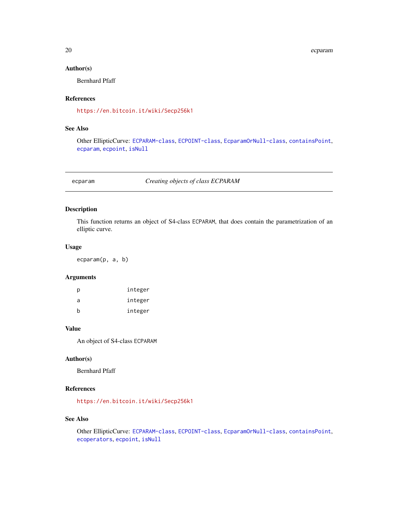<span id="page-19-0"></span>20 expansion of the contract of the contract of the contract of the contract of the contract of the contract of the contract of the contract of the contract of the contract of the contract of the contract of the contract o

### Author(s)

Bernhard Pfaff

### References

<https://en.bitcoin.it/wiki/Secp256k1>

### See Also

Other EllipticCurve: [ECPARAM-class](#page-20-1), [ECPOINT-class](#page-22-1), [EcparamOrNull-class](#page-20-2), [containsPoint](#page-11-2), [ecparam](#page-19-1), [ecpoint](#page-21-1), [isNull](#page-50-2)

<span id="page-19-1"></span>ecparam *Creating objects of class ECPARAM*

### Description

This function returns an object of S4-class ECPARAM, that does contain the parametrization of an elliptic curve.

### Usage

ecparam(p, a, b)

### Arguments

| р | integer |
|---|---------|
| a | integer |
| h | integer |

### Value

An object of S4-class ECPARAM

### Author(s)

Bernhard Pfaff

### References

<https://en.bitcoin.it/wiki/Secp256k1>

### See Also

Other EllipticCurve: [ECPARAM-class](#page-20-1), [ECPOINT-class](#page-22-1), [EcparamOrNull-class](#page-20-2), [containsPoint](#page-11-2), [ecoperators](#page-18-1), [ecpoint](#page-21-1), [isNull](#page-50-2)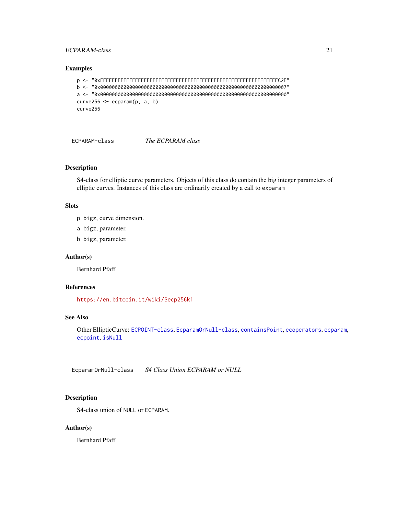### <span id="page-20-0"></span>ECPARAM-class 21

#### Examples

```
p <- "0xFFFFFFFFFFFFFFFFFFFFFFFFFFFFFFFFFFFFFFFFFFFFFFFFFFFFFFFEFFFFFC2F"
b <- "0x0000000000000000000000000000000000000000000000000000000000000007"
a <- "0x0000000000000000000000000000000000000000000000000000000000000000"
curve256 \le - ecparam(p, a, b)curve256
```
<span id="page-20-1"></span>ECPARAM-class *The ECPARAM class*

### Description

S4-class for elliptic curve parameters. Objects of this class do contain the big integer parameters of elliptic curves. Instances of this class are ordinarily created by a call to exparam

### **Slots**

- p bigz, curve dimension.
- a bigz, parameter.
- b bigz, parameter.

### Author(s)

Bernhard Pfaff

### References

<https://en.bitcoin.it/wiki/Secp256k1>

#### See Also

Other EllipticCurve: [ECPOINT-class](#page-22-1), [EcparamOrNull-class](#page-20-2), [containsPoint](#page-11-2), [ecoperators](#page-18-1), [ecparam](#page-19-1), [ecpoint](#page-21-1), [isNull](#page-50-2)

<span id="page-20-2"></span>EcparamOrNull-class *S4 Class Union ECPARAM or NULL*

### Description

S4-class union of NULL or ECPARAM.

### Author(s)

Bernhard Pfaff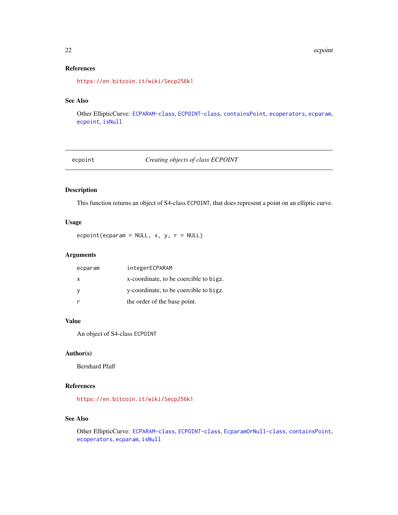### <span id="page-21-0"></span>References

<https://en.bitcoin.it/wiki/Secp256k1>

### See Also

Other EllipticCurve: [ECPARAM-class](#page-20-1), [ECPOINT-class](#page-22-1), [containsPoint](#page-11-2), [ecoperators](#page-18-1), [ecparam](#page-19-1), [ecpoint](#page-21-1), [isNull](#page-50-2)

<span id="page-21-1"></span>ecpoint *Creating objects of class ECPOINT*

### Description

This function returns an object of S4-class ECPOINT, that does represent a point on an elliptic curve.

### Usage

 $e$ cpoint(ecparam = NULL, x, y, r = NULL)

#### Arguments

| ecparam      | integerECPARAM                         |
|--------------|----------------------------------------|
| $\mathsf{x}$ | x-coordinate, to be coercible to bigz. |
| - V          | y-coordinate, to be coercible to bigz. |
|              | the order of the base point.           |

#### Value

An object of S4-class ECPOINT

#### Author(s)

Bernhard Pfaff

### References

<https://en.bitcoin.it/wiki/Secp256k1>

### See Also

Other EllipticCurve: [ECPARAM-class](#page-20-1), [ECPOINT-class](#page-22-1), [EcparamOrNull-class](#page-20-2), [containsPoint](#page-11-2), [ecoperators](#page-18-1), [ecparam](#page-19-1), [isNull](#page-50-2)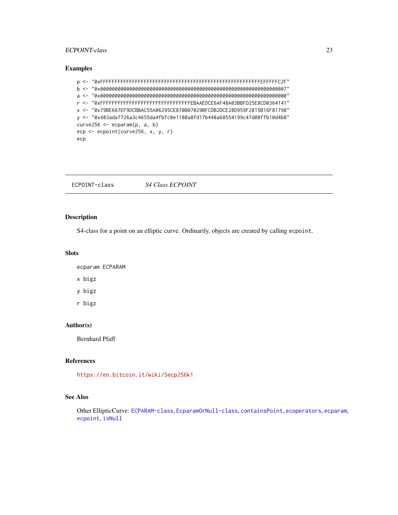### <span id="page-22-0"></span>ECPOINT-class 23

#### Examples

```
p <- "0xFFFFFFFFFFFFFFFFFFFFFFFFFFFFFFFFFFFFFFFFFFFFFFFFFFFFFFFEFFFFFC2F"
b <- "0x0000000000000000000000000000000000000000000000000000000000000007"
a <- "0x0000000000000000000000000000000000000000000000000000000000000000"
r <- "0xFFFFFFFFFFFFFFFFFFFFFFFFFFFFFFFEBAAEDCE6AF48A03BBFD25E8CD0364141"
x <- "0x79BE667EF9DCBBAC55A06295CE870B07029BFCDB2DCE28D959F2815B16F81798"
y <- "0x483ada7726a3c4655da4fbfc0e1108a8fd17b448a68554199c47d08ffb10d4b8"
curve256 <- ecparam(p, a, b)
ecp <- ecpoint(curve256, x, y, r)
ecp
```
<span id="page-22-1"></span>ECPOINT-class *S4 Class ECPOINT*

### Description

S4-class for a point on an elliptic curve. Ordinarily, objects are created by calling ecpoint.

### Slots

```
ecparam ECPARAM
x bigz
y bigz
r bigz
```
#### Author(s)

Bernhard Pfaff

### References

<https://en.bitcoin.it/wiki/Secp256k1>

### See Also

Other EllipticCurve: [ECPARAM-class](#page-20-1), [EcparamOrNull-class](#page-20-2), [containsPoint](#page-11-2), [ecoperators](#page-18-1), [ecparam](#page-19-1), [ecpoint](#page-21-1), [isNull](#page-50-2)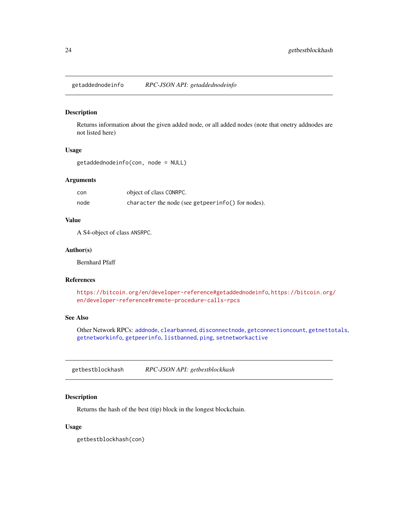<span id="page-23-1"></span><span id="page-23-0"></span>getaddednodeinfo *RPC-JSON API: getaddednodeinfo*

#### Description

Returns information about the given added node, or all added nodes (note that onetry addnodes are not listed here)

### Usage

getaddednodeinfo(con, node = NULL)

#### Arguments

con object of class CONRPC. node character the node (see getpeerinfo() for nodes).

### Value

A S4-object of class ANSRPC.

#### Author(s)

Bernhard Pfaff

#### References

<https://bitcoin.org/en/developer-reference#getaddednodeinfo>, [https://bitcoin.org/](https://bitcoin.org/en/developer-reference#remote-procedure-calls-rpcs) [en/developer-reference#remote-procedure-calls-rpcs](https://bitcoin.org/en/developer-reference#remote-procedure-calls-rpcs)

### See Also

Other Network RPCs: [addnode](#page-2-1), [clearbanned](#page-8-1), [disconnectnode](#page-17-1), [getconnectioncount](#page-30-1), [getnettotals](#page-36-1), [getnetworkinfo](#page-37-1), [getpeerinfo](#page-38-1), [listbanned](#page-50-1), [ping](#page-52-1), [setnetworkactive](#page-58-1)

<span id="page-23-2"></span>getbestblockhash *RPC-JSON API: getbestblockhash*

### Description

Returns the hash of the best (tip) block in the longest blockchain.

#### Usage

getbestblockhash(con)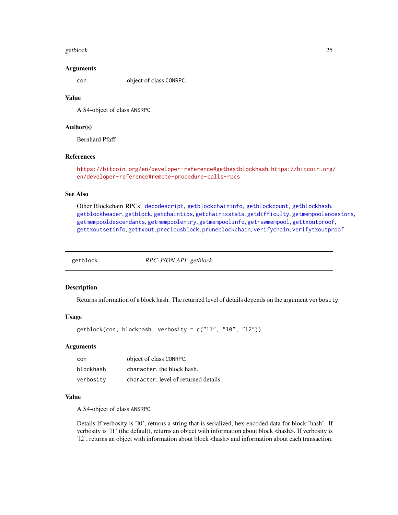#### <span id="page-24-0"></span>getblock 25

#### Arguments

con object of class CONRPC.

#### Value

A S4-object of class ANSRPC.

### Author(s)

Bernhard Pfaff

### References

<https://bitcoin.org/en/developer-reference#getbestblockhash>, [https://bitcoin.org/](https://bitcoin.org/en/developer-reference#remote-procedure-calls-rpcs) [en/developer-reference#remote-procedure-calls-rpcs](https://bitcoin.org/en/developer-reference#remote-procedure-calls-rpcs)

#### See Also

Other Blockchain RPCs: [decodescript](#page-16-1), [getblockchaininfo](#page-25-1), [getblockcount](#page-26-1), [getblockhash](#page-26-2), [getblockheader](#page-27-1), [getblock](#page-24-1), [getchaintips](#page-28-1), [getchaintxstats](#page-29-1), [getdifficulty](#page-30-2), [getmempoolancestors](#page-33-1), [getmempooldescendants](#page-34-1), [getmempoolentry](#page-35-1), [getmempoolinfo](#page-36-2), [getrawmempool](#page-39-1), [gettxoutproof](#page-42-1), [gettxoutsetinfo](#page-43-1), [gettxout](#page-41-1), [preciousblock](#page-52-2), [pruneblockchain](#page-55-1), [verifychain](#page-66-2), [verifytxoutproof](#page-67-1)

<span id="page-24-1"></span>

getblock *RPC-JSON API: getblock*

#### Description

Returns information of a block hash. The returned level of details depends on the argument verbosity.

#### Usage

getblock(con, blockhash, verbosity = c("l1", "l0", "l2"))

### Arguments

| con       | object of class CONRPC.               |
|-----------|---------------------------------------|
| blockhash | character, the block hash.            |
| verbosity | character, level of returned details. |

### Value

A S4-object of class ANSRPC.

Details If verbosity is 'l0', returns a string that is serialized, hex-encoded data for block 'hash'. If verbosity is 'l1' (the default), returns an object with information about block <hash>. If verbosity is 'l2', returns an object with information about block <hash> and information about each transaction.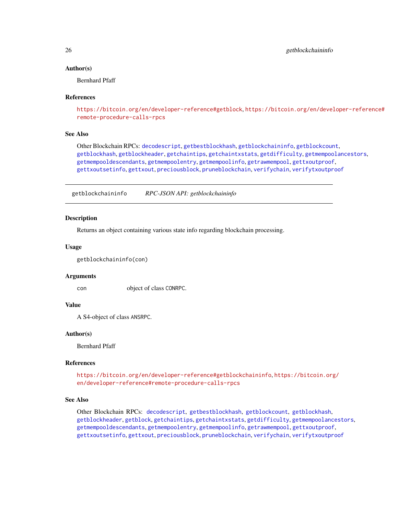#### Author(s)

Bernhard Pfaff

#### References

```
https://bitcoin.org/en/developer-reference#getblock, https://bitcoin.org/en/developer-reference#
remote-procedure-calls-rpcs
```
#### See Also

```
Other Blockchain RPCs: decodescript, getbestblockhash, getblockchaininfo, getblockcount,
getblockhash, getblockheader, getchaintips, getchaintxstats, getdifficulty, getmempoolancestors,
getmempooldescendants, getmempoolentry, getmempoolinfo, getrawmempool, gettxoutproof,
gettxoutsetinfo, gettxout, preciousblock, pruneblockchain, verifychain, verifytxoutproof
```
<span id="page-25-1"></span>getblockchaininfo *RPC-JSON API: getblockchaininfo*

### Description

Returns an object containing various state info regarding blockchain processing.

#### Usage

getblockchaininfo(con)

#### Arguments

con object of class CONRPC.

#### Value

A S4-object of class ANSRPC.

#### Author(s)

Bernhard Pfaff

### References

<https://bitcoin.org/en/developer-reference#getblockchaininfo>, [https://bitcoin.org](https://bitcoin.org/en/developer-reference#remote-procedure-calls-rpcs)/ [en/developer-reference#remote-procedure-calls-rpcs](https://bitcoin.org/en/developer-reference#remote-procedure-calls-rpcs)

#### See Also

Other Blockchain RPCs: [decodescript](#page-16-1), [getbestblockhash](#page-23-2), [getblockcount](#page-26-1), [getblockhash](#page-26-2), [getblockheader](#page-27-1), [getblock](#page-24-1), [getchaintips](#page-28-1), [getchaintxstats](#page-29-1), [getdifficulty](#page-30-2), [getmempoolancestors](#page-33-1), [getmempooldescendants](#page-34-1), [getmempoolentry](#page-35-1), [getmempoolinfo](#page-36-2), [getrawmempool](#page-39-1), [gettxoutproof](#page-42-1), [gettxoutsetinfo](#page-43-1), [gettxout](#page-41-1), [preciousblock](#page-52-2), [pruneblockchain](#page-55-1), [verifychain](#page-66-2), [verifytxoutproof](#page-67-1)

<span id="page-25-0"></span>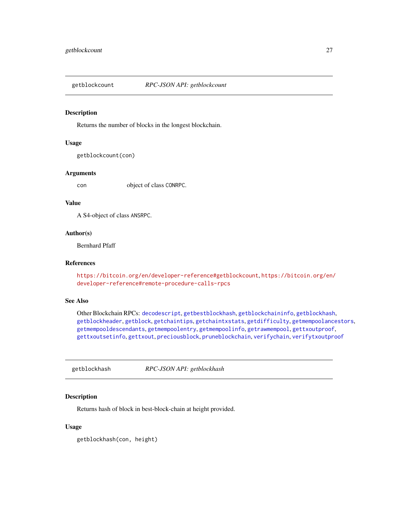<span id="page-26-1"></span><span id="page-26-0"></span>

Returns the number of blocks in the longest blockchain.

### Usage

```
getblockcount(con)
```
#### Arguments

con object of class CONRPC.

#### Value

A S4-object of class ANSRPC.

#### Author(s)

Bernhard Pfaff

### References

<https://bitcoin.org/en/developer-reference#getblockcount>, [https://bitcoin.org/en/](https://bitcoin.org/en/developer-reference#remote-procedure-calls-rpcs) [developer-reference#remote-procedure-calls-rpcs](https://bitcoin.org/en/developer-reference#remote-procedure-calls-rpcs)

### See Also

Other Blockchain RPCs: [decodescript](#page-16-1), [getbestblockhash](#page-23-2), [getblockchaininfo](#page-25-1), [getblockhash](#page-26-2), [getblockheader](#page-27-1), [getblock](#page-24-1), [getchaintips](#page-28-1), [getchaintxstats](#page-29-1), [getdifficulty](#page-30-2), [getmempoolancestors](#page-33-1), [getmempooldescendants](#page-34-1), [getmempoolentry](#page-35-1), [getmempoolinfo](#page-36-2), [getrawmempool](#page-39-1), [gettxoutproof](#page-42-1), [gettxoutsetinfo](#page-43-1), [gettxout](#page-41-1), [preciousblock](#page-52-2), [pruneblockchain](#page-55-1), [verifychain](#page-66-2), [verifytxoutproof](#page-67-1)

<span id="page-26-2"></span>getblockhash *RPC-JSON API: getblockhash*

### Description

Returns hash of block in best-block-chain at height provided.

#### Usage

getblockhash(con, height)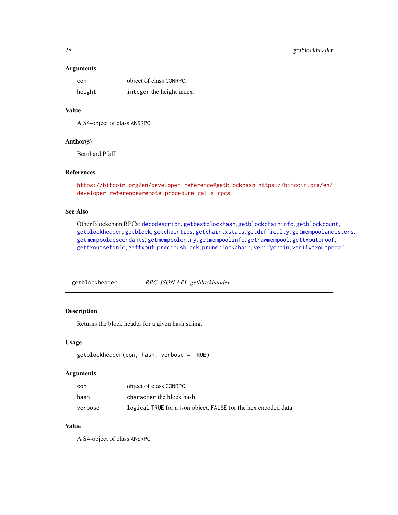#### Arguments

| con    | object of class CONRPC.   |
|--------|---------------------------|
| height | integer the height index. |

### Value

A S4-object of class ANSRPC.

### Author(s)

Bernhard Pfaff

### References

```
https://bitcoin.org/en/developer-reference#getblockhash, https://bitcoin.org/en/
developer-reference#remote-procedure-calls-rpcs
```
### See Also

Other Blockchain RPCs: [decodescript](#page-16-1), [getbestblockhash](#page-23-2), [getblockchaininfo](#page-25-1), [getblockcount](#page-26-1), [getblockheader](#page-27-1), [getblock](#page-24-1), [getchaintips](#page-28-1), [getchaintxstats](#page-29-1), [getdifficulty](#page-30-2), [getmempoolancestors](#page-33-1), [getmempooldescendants](#page-34-1), [getmempoolentry](#page-35-1), [getmempoolinfo](#page-36-2), [getrawmempool](#page-39-1), [gettxoutproof](#page-42-1), [gettxoutsetinfo](#page-43-1), [gettxout](#page-41-1), [preciousblock](#page-52-2), [pruneblockchain](#page-55-1), [verifychain](#page-66-2), [verifytxoutproof](#page-67-1)

<span id="page-27-1"></span>getblockheader *RPC-JSON API: getblockheader*

### Description

Returns the block header for a given hash string.

#### Usage

```
getblockheader(con, hash, verbose = TRUE)
```
### Arguments

| con     | object of class CONRPC.                                         |
|---------|-----------------------------------------------------------------|
| hash    | character the block hash.                                       |
| verbose | logical TRUE for a json object, FALSE for the hex encoded data. |

### Value

A S4-object of class ANSRPC.

<span id="page-27-0"></span>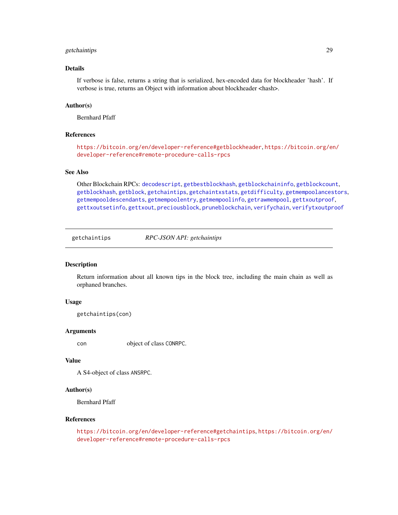### <span id="page-28-0"></span>getchaintips 29

### Details

If verbose is false, returns a string that is serialized, hex-encoded data for blockheader 'hash'. If verbose is true, returns an Object with information about blockheader <hash>.

#### Author(s)

Bernhard Pfaff

#### References

<https://bitcoin.org/en/developer-reference#getblockheader>, [https://bitcoin.org/en](https://bitcoin.org/en/developer-reference#remote-procedure-calls-rpcs)/ [developer-reference#remote-procedure-calls-rpcs](https://bitcoin.org/en/developer-reference#remote-procedure-calls-rpcs)

#### See Also

Other Blockchain RPCs: [decodescript](#page-16-1), [getbestblockhash](#page-23-2), [getblockchaininfo](#page-25-1), [getblockcount](#page-26-1), [getblockhash](#page-26-2), [getblock](#page-24-1), [getchaintips](#page-28-1), [getchaintxstats](#page-29-1), [getdifficulty](#page-30-2), [getmempoolancestors](#page-33-1), [getmempooldescendants](#page-34-1), [getmempoolentry](#page-35-1), [getmempoolinfo](#page-36-2), [getrawmempool](#page-39-1), [gettxoutproof](#page-42-1), [gettxoutsetinfo](#page-43-1), [gettxout](#page-41-1), [preciousblock](#page-52-2), [pruneblockchain](#page-55-1), [verifychain](#page-66-2), [verifytxoutproof](#page-67-1)

<span id="page-28-1"></span>getchaintips *RPC-JSON API: getchaintips*

### **Description**

Return information about all known tips in the block tree, including the main chain as well as orphaned branches.

#### Usage

getchaintips(con)

#### Arguments

con object of class CONRPC.

#### Value

A S4-object of class ANSRPC.

### Author(s)

Bernhard Pfaff

#### References

<https://bitcoin.org/en/developer-reference#getchaintips>, [https://bitcoin.org/en/](https://bitcoin.org/en/developer-reference#remote-procedure-calls-rpcs) [developer-reference#remote-procedure-calls-rpcs](https://bitcoin.org/en/developer-reference#remote-procedure-calls-rpcs)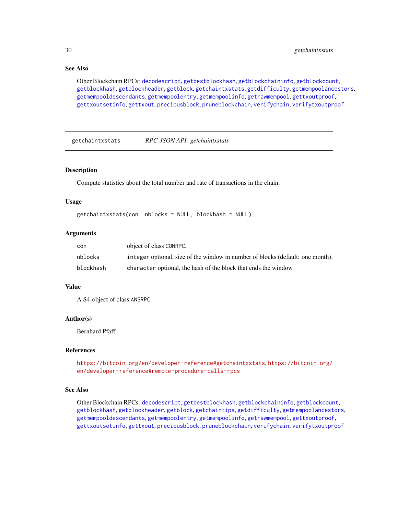### See Also

Other Blockchain RPCs: [decodescript](#page-16-1), [getbestblockhash](#page-23-2), [getblockchaininfo](#page-25-1), [getblockcount](#page-26-1), [getblockhash](#page-26-2), [getblockheader](#page-27-1), [getblock](#page-24-1), [getchaintxstats](#page-29-1), [getdifficulty](#page-30-2), [getmempoolancestors](#page-33-1), [getmempooldescendants](#page-34-1), [getmempoolentry](#page-35-1), [getmempoolinfo](#page-36-2), [getrawmempool](#page-39-1), [gettxoutproof](#page-42-1), [gettxoutsetinfo](#page-43-1), [gettxout](#page-41-1), [preciousblock](#page-52-2), [pruneblockchain](#page-55-1), [verifychain](#page-66-2), [verifytxoutproof](#page-67-1)

<span id="page-29-1"></span>getchaintxstats *RPC-JSON API: getchaintxstats*

#### Description

Compute statistics about the total number and rate of transactions in the chain.

#### Usage

getchaintxstats(con, nblocks = NULL, blockhash = NULL)

#### Arguments

| con       | object of class CONRPC.                                                        |
|-----------|--------------------------------------------------------------------------------|
| nblocks   | integer optional, size of the window in number of blocks (default: one month). |
| blockhash | character optional, the hash of the block that ends the window.                |

### Value

A S4-object of class ANSRPC.

#### Author(s)

Bernhard Pfaff

### References

<https://bitcoin.org/en/developer-reference#getchaintxstats>, [https://bitcoin.org/](https://bitcoin.org/en/developer-reference#remote-procedure-calls-rpcs) [en/developer-reference#remote-procedure-calls-rpcs](https://bitcoin.org/en/developer-reference#remote-procedure-calls-rpcs)

### See Also

Other Blockchain RPCs: [decodescript](#page-16-1), [getbestblockhash](#page-23-2), [getblockchaininfo](#page-25-1), [getblockcount](#page-26-1), [getblockhash](#page-26-2), [getblockheader](#page-27-1), [getblock](#page-24-1), [getchaintips](#page-28-1), [getdifficulty](#page-30-2), [getmempoolancestors](#page-33-1), [getmempooldescendants](#page-34-1), [getmempoolentry](#page-35-1), [getmempoolinfo](#page-36-2), [getrawmempool](#page-39-1), [gettxoutproof](#page-42-1), [gettxoutsetinfo](#page-43-1), [gettxout](#page-41-1), [preciousblock](#page-52-2), [pruneblockchain](#page-55-1), [verifychain](#page-66-2), [verifytxoutproof](#page-67-1)

<span id="page-29-0"></span>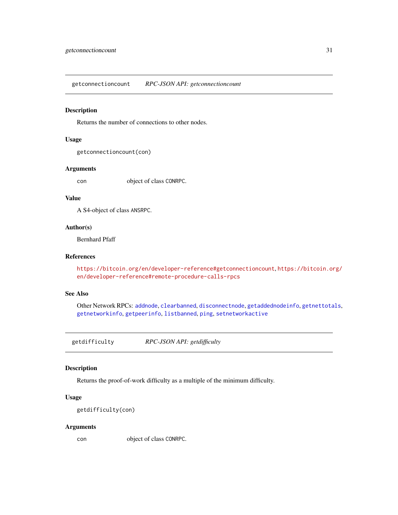<span id="page-30-1"></span><span id="page-30-0"></span>getconnectioncount *RPC-JSON API: getconnectioncount*

### Description

Returns the number of connections to other nodes.

### Usage

getconnectioncount(con)

#### Arguments

con object of class CONRPC.

### Value

A S4-object of class ANSRPC.

### Author(s)

Bernhard Pfaff

### References

<https://bitcoin.org/en/developer-reference#getconnectioncount>, [https://bitcoin.or](https://bitcoin.org/en/developer-reference#remote-procedure-calls-rpcs)g/ [en/developer-reference#remote-procedure-calls-rpcs](https://bitcoin.org/en/developer-reference#remote-procedure-calls-rpcs)

### See Also

Other Network RPCs: [addnode](#page-2-1), [clearbanned](#page-8-1), [disconnectnode](#page-17-1), [getaddednodeinfo](#page-23-1), [getnettotals](#page-36-1), [getnetworkinfo](#page-37-1), [getpeerinfo](#page-38-1), [listbanned](#page-50-1), [ping](#page-52-1), [setnetworkactive](#page-58-1)

<span id="page-30-2"></span>getdifficulty *RPC-JSON API: getdifficulty*

### Description

Returns the proof-of-work difficulty as a multiple of the minimum difficulty.

### Usage

```
getdifficulty(con)
```
#### Arguments

con object of class CONRPC.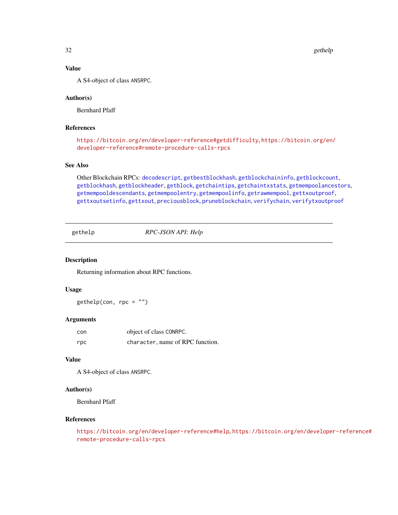32 gethelp

### Value

A S4-object of class ANSRPC.

#### Author(s)

Bernhard Pfaff

### References

<https://bitcoin.org/en/developer-reference#getdifficulty>, [https://bitcoin.org/en/](https://bitcoin.org/en/developer-reference#remote-procedure-calls-rpcs) [developer-reference#remote-procedure-calls-rpcs](https://bitcoin.org/en/developer-reference#remote-procedure-calls-rpcs)

### See Also

Other Blockchain RPCs: [decodescript](#page-16-1), [getbestblockhash](#page-23-2), [getblockchaininfo](#page-25-1), [getblockcount](#page-26-1), [getblockhash](#page-26-2), [getblockheader](#page-27-1), [getblock](#page-24-1), [getchaintips](#page-28-1), [getchaintxstats](#page-29-1), [getmempoolancestors](#page-33-1), [getmempooldescendants](#page-34-1), [getmempoolentry](#page-35-1), [getmempoolinfo](#page-36-2), [getrawmempool](#page-39-1), [gettxoutproof](#page-42-1), [gettxoutsetinfo](#page-43-1), [gettxout](#page-41-1), [preciousblock](#page-52-2), [pruneblockchain](#page-55-1), [verifychain](#page-66-2), [verifytxoutproof](#page-67-1)

<span id="page-31-1"></span>gethelp *RPC-JSON API: Help*

#### Description

Returning information about RPC functions.

### Usage

 $gethelp(con, rpc = "")$ 

#### **Arguments**

| con | object of class CONRPC.          |
|-----|----------------------------------|
| rpc | character, name of RPC function. |

### Value

A S4-object of class ANSRPC.

### Author(s)

Bernhard Pfaff

### References

```
https://bitcoin.org/en/developer-reference#help, https://bitcoin.org/en/developer-reference#
remote-procedure-calls-rpcs
```
<span id="page-31-0"></span>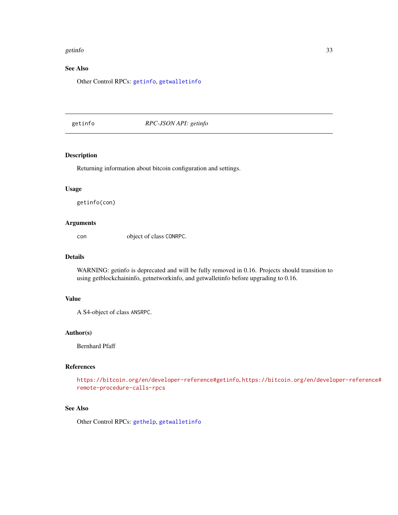#### <span id="page-32-0"></span>getinfo 33

### See Also

Other Control RPCs: [getinfo](#page-32-1), [getwalletinfo](#page-43-2)

<span id="page-32-1"></span>getinfo *RPC-JSON API: getinfo*

### Description

Returning information about bitcoin configuration and settings.

### Usage

getinfo(con)

#### Arguments

con object of class CONRPC.

### Details

WARNING: getinfo is deprecated and will be fully removed in 0.16. Projects should transition to using getblockchaininfo, getnetworkinfo, and getwalletinfo before upgrading to 0.16.

#### Value

A S4-object of class ANSRPC.

### Author(s)

Bernhard Pfaff

#### References

<https://bitcoin.org/en/developer-reference#getinfo>, [https://bitcoin.org/en/develo](https://bitcoin.org/en/developer-reference#remote-procedure-calls-rpcs)per-reference# [remote-procedure-calls-rpcs](https://bitcoin.org/en/developer-reference#remote-procedure-calls-rpcs)

#### See Also

Other Control RPCs: [gethelp](#page-31-1), [getwalletinfo](#page-43-2)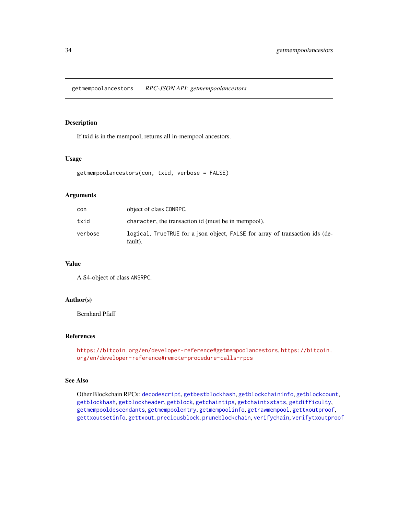<span id="page-33-1"></span><span id="page-33-0"></span>getmempoolancestors *RPC-JSON API: getmempoolancestors*

### Description

If txid is in the mempool, returns all in-mempool ancestors.

#### Usage

```
getmempoolancestors(con, txid, verbose = FALSE)
```
#### **Arguments**

| con     | object of class CONRPC.                                                                 |
|---------|-----------------------------------------------------------------------------------------|
| txid    | character, the transaction id (must be in mempool).                                     |
| verbose | logical, TrueTRUE for a json object, FALSE for array of transaction ids (de-<br>fault). |

#### Value

A S4-object of class ANSRPC.

### Author(s)

Bernhard Pfaff

### References

```
https://bitcoin.org/en/developer-reference#getmempoolancestors, https://bitcoin.
org/en/developer-reference#remote-procedure-calls-rpcs
```
### See Also

Other Blockchain RPCs: [decodescript](#page-16-1), [getbestblockhash](#page-23-2), [getblockchaininfo](#page-25-1), [getblockcount](#page-26-1), [getblockhash](#page-26-2), [getblockheader](#page-27-1), [getblock](#page-24-1), [getchaintips](#page-28-1), [getchaintxstats](#page-29-1), [getdifficulty](#page-30-2), [getmempooldescendants](#page-34-1), [getmempoolentry](#page-35-1), [getmempoolinfo](#page-36-2), [getrawmempool](#page-39-1), [gettxoutproof](#page-42-1), [gettxoutsetinfo](#page-43-1), [gettxout](#page-41-1), [preciousblock](#page-52-2), [pruneblockchain](#page-55-1), [verifychain](#page-66-2), [verifytxoutproof](#page-67-1)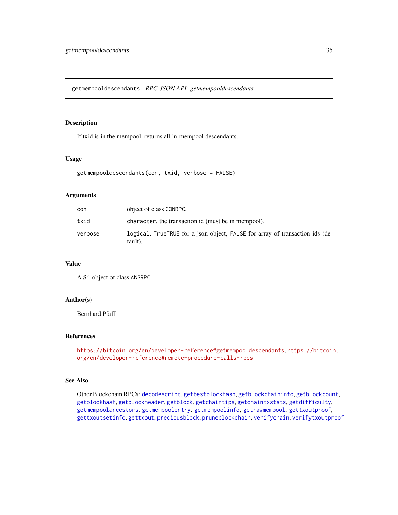<span id="page-34-1"></span><span id="page-34-0"></span>getmempooldescendants *RPC-JSON API: getmempooldescendants*

### Description

If txid is in the mempool, returns all in-mempool descendants.

#### Usage

```
getmempooldescendants(con, txid, verbose = FALSE)
```
#### **Arguments**

| con     | object of class CONRPC.                                                                 |
|---------|-----------------------------------------------------------------------------------------|
| txid    | character, the transaction id (must be in mempool).                                     |
| verbose | logical, TrueTRUE for a json object, FALSE for array of transaction ids (de-<br>fault). |

### Value

A S4-object of class ANSRPC.

### Author(s)

Bernhard Pfaff

### References

<https://bitcoin.org/en/developer-reference#getmempooldescendants>, [https://bitcoin](https://bitcoin.org/en/developer-reference#remote-procedure-calls-rpcs). [org/en/developer-reference#remote-procedure-calls-rpcs](https://bitcoin.org/en/developer-reference#remote-procedure-calls-rpcs)

### See Also

Other Blockchain RPCs: [decodescript](#page-16-1), [getbestblockhash](#page-23-2), [getblockchaininfo](#page-25-1), [getblockcount](#page-26-1), [getblockhash](#page-26-2), [getblockheader](#page-27-1), [getblock](#page-24-1), [getchaintips](#page-28-1), [getchaintxstats](#page-29-1), [getdifficulty](#page-30-2), [getmempoolancestors](#page-33-1), [getmempoolentry](#page-35-1), [getmempoolinfo](#page-36-2), [getrawmempool](#page-39-1), [gettxoutproof](#page-42-1), [gettxoutsetinfo](#page-43-1), [gettxout](#page-41-1), [preciousblock](#page-52-2), [pruneblockchain](#page-55-1), [verifychain](#page-66-2), [verifytxoutproof](#page-67-1)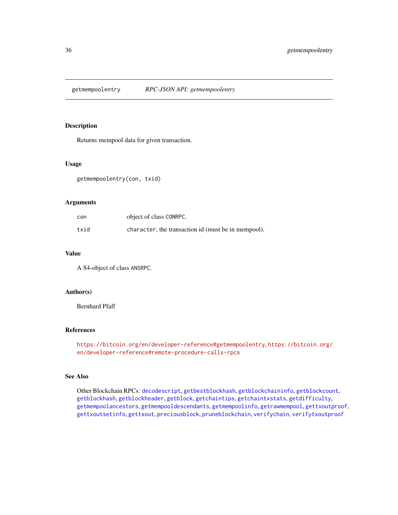<span id="page-35-1"></span><span id="page-35-0"></span>

Returns mempool data for given transaction.

### Usage

getmempoolentry(con, txid)

#### Arguments

| con  | object of class CONRPC.                             |
|------|-----------------------------------------------------|
| txid | character, the transaction id (must be in mempool). |

### Value

A S4-object of class ANSRPC.

#### Author(s)

Bernhard Pfaff

### References

```
https://bitcoin.org/en/developer-reference#getmempoolentry, https://bitcoin.org/
en/developer-reference#remote-procedure-calls-rpcs
```
### See Also

Other Blockchain RPCs: [decodescript](#page-16-1), [getbestblockhash](#page-23-2), [getblockchaininfo](#page-25-1), [getblockcount](#page-26-1), [getblockhash](#page-26-2), [getblockheader](#page-27-1), [getblock](#page-24-1), [getchaintips](#page-28-1), [getchaintxstats](#page-29-1), [getdifficulty](#page-30-2), [getmempoolancestors](#page-33-1), [getmempooldescendants](#page-34-1), [getmempoolinfo](#page-36-2), [getrawmempool](#page-39-1), [gettxoutproof](#page-42-1), [gettxoutsetinfo](#page-43-1), [gettxout](#page-41-1), [preciousblock](#page-52-2), [pruneblockchain](#page-55-1), [verifychain](#page-66-2), [verifytxoutproof](#page-67-1)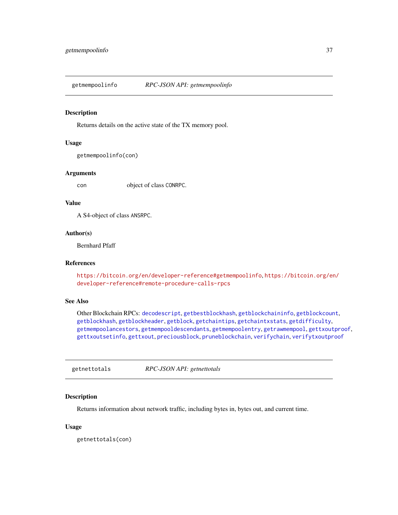<span id="page-36-2"></span><span id="page-36-1"></span>getmempoolinfo *RPC-JSON API: getmempoolinfo*

#### Description

Returns details on the active state of the TX memory pool.

# Usage

```
getmempoolinfo(con)
```
#### **Arguments**

con object of class CONRPC.

#### Value

A S4-object of class ANSRPC.

#### Author(s)

Bernhard Pfaff

# References

<https://bitcoin.org/en/developer-reference#getmempoolinfo>, [https://bitcoin.org/en](https://bitcoin.org/en/developer-reference#remote-procedure-calls-rpcs)/ [developer-reference#remote-procedure-calls-rpcs](https://bitcoin.org/en/developer-reference#remote-procedure-calls-rpcs)

# See Also

Other Blockchain RPCs: [decodescript](#page-16-0), [getbestblockhash](#page-23-0), [getblockchaininfo](#page-25-0), [getblockcount](#page-26-0), [getblockhash](#page-26-1), [getblockheader](#page-27-0), [getblock](#page-24-0), [getchaintips](#page-28-0), [getchaintxstats](#page-29-0), [getdifficulty](#page-30-0), [getmempoolancestors](#page-33-0), [getmempooldescendants](#page-34-0), [getmempoolentry](#page-35-0), [getrawmempool](#page-39-0), [gettxoutproof](#page-42-0), [gettxoutsetinfo](#page-43-0), [gettxout](#page-41-0), [preciousblock](#page-52-0), [pruneblockchain](#page-55-0), [verifychain](#page-66-0), [verifytxoutproof](#page-67-0)

<span id="page-36-0"></span>getnettotals *RPC-JSON API: getnettotals*

# Description

Returns information about network traffic, including bytes in, bytes out, and current time.

#### Usage

getnettotals(con)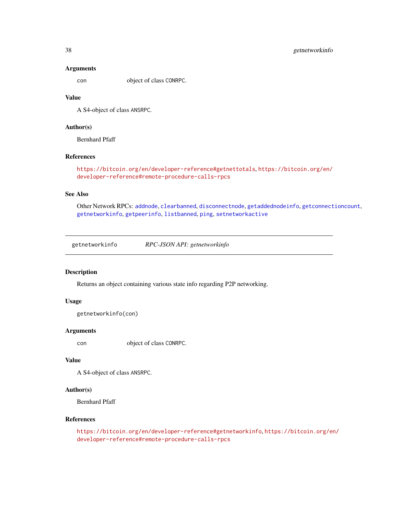#### Arguments

con object of class CONRPC.

#### Value

A S4-object of class ANSRPC.

# Author(s)

Bernhard Pfaff

# References

```
https://bitcoin.org/en/developer-reference#getnettotals, https://bitcoin.org/en/
developer-reference#remote-procedure-calls-rpcs
```
#### See Also

Other Network RPCs: [addnode](#page-2-0), [clearbanned](#page-8-0), [disconnectnode](#page-17-0), [getaddednodeinfo](#page-23-1), [getconnectioncount](#page-30-1), [getnetworkinfo](#page-37-0), [getpeerinfo](#page-38-0), [listbanned](#page-50-0), [ping](#page-52-1), [setnetworkactive](#page-58-0)

<span id="page-37-0"></span>getnetworkinfo *RPC-JSON API: getnetworkinfo*

# Description

Returns an object containing various state info regarding P2P networking.

# Usage

```
getnetworkinfo(con)
```
#### Arguments

con object of class CONRPC.

#### Value

A S4-object of class ANSRPC.

# Author(s)

Bernhard Pfaff

#### References

<https://bitcoin.org/en/developer-reference#getnetworkinfo>, [https://bitcoin.org/en](https://bitcoin.org/en/developer-reference#remote-procedure-calls-rpcs)/ [developer-reference#remote-procedure-calls-rpcs](https://bitcoin.org/en/developer-reference#remote-procedure-calls-rpcs)

<span id="page-37-1"></span>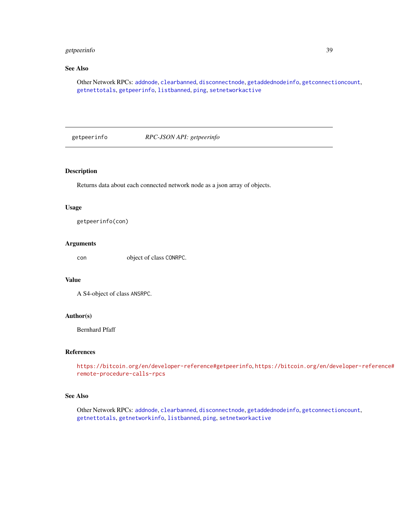# <span id="page-38-1"></span>getpeerinfo 39

# See Also

Other Network RPCs: [addnode](#page-2-0), [clearbanned](#page-8-0), [disconnectnode](#page-17-0), [getaddednodeinfo](#page-23-1), [getconnectioncount](#page-30-1), [getnettotals](#page-36-0), [getpeerinfo](#page-38-0), [listbanned](#page-50-0), [ping](#page-52-1), [setnetworkactive](#page-58-0)

<span id="page-38-0"></span>getpeerinfo *RPC-JSON API: getpeerinfo*

# Description

Returns data about each connected network node as a json array of objects.

#### Usage

getpeerinfo(con)

#### Arguments

con object of class CONRPC.

#### Value

A S4-object of class ANSRPC.

#### Author(s)

Bernhard Pfaff

#### References

<https://bitcoin.org/en/developer-reference#getpeerinfo>, [https://bitcoin.org/en/de](https://bitcoin.org/en/developer-reference#remote-procedure-calls-rpcs)veloper-reference# [remote-procedure-calls-rpcs](https://bitcoin.org/en/developer-reference#remote-procedure-calls-rpcs)

# See Also

Other Network RPCs: [addnode](#page-2-0), [clearbanned](#page-8-0), [disconnectnode](#page-17-0), [getaddednodeinfo](#page-23-1), [getconnectioncount](#page-30-1), [getnettotals](#page-36-0), [getnetworkinfo](#page-37-0), [listbanned](#page-50-0), [ping](#page-52-1), [setnetworkactive](#page-58-0)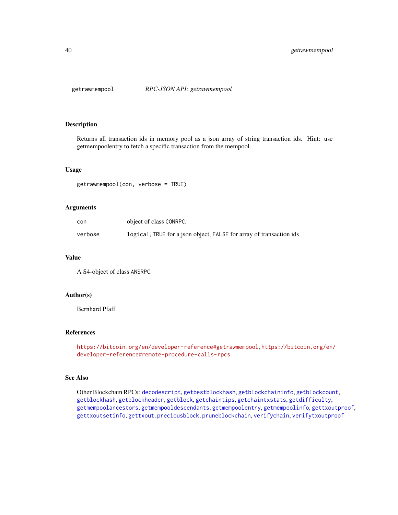<span id="page-39-1"></span><span id="page-39-0"></span>

Returns all transaction ids in memory pool as a json array of string transaction ids. Hint: use getmempoolentry to fetch a specific transaction from the mempool.

#### Usage

getrawmempool(con, verbose = TRUE)

# Arguments

| con     | object of class CONRPC.                                             |
|---------|---------------------------------------------------------------------|
| verbose | logical, TRUE for a json object, FALSE for array of transaction ids |

#### Value

A S4-object of class ANSRPC.

#### Author(s)

Bernhard Pfaff

# References

<https://bitcoin.org/en/developer-reference#getrawmempool>, [https://bitcoin.org/en/](https://bitcoin.org/en/developer-reference#remote-procedure-calls-rpcs) [developer-reference#remote-procedure-calls-rpcs](https://bitcoin.org/en/developer-reference#remote-procedure-calls-rpcs)

#### See Also

Other Blockchain RPCs: [decodescript](#page-16-0), [getbestblockhash](#page-23-0), [getblockchaininfo](#page-25-0), [getblockcount](#page-26-0), [getblockhash](#page-26-1), [getblockheader](#page-27-0), [getblock](#page-24-0), [getchaintips](#page-28-0), [getchaintxstats](#page-29-0), [getdifficulty](#page-30-0), [getmempoolancestors](#page-33-0), [getmempooldescendants](#page-34-0), [getmempoolentry](#page-35-0), [getmempoolinfo](#page-36-1), [gettxoutproof](#page-42-0), [gettxoutsetinfo](#page-43-0), [gettxout](#page-41-0), [preciousblock](#page-52-0), [pruneblockchain](#page-55-0), [verifychain](#page-66-0), [verifytxoutproof](#page-67-0)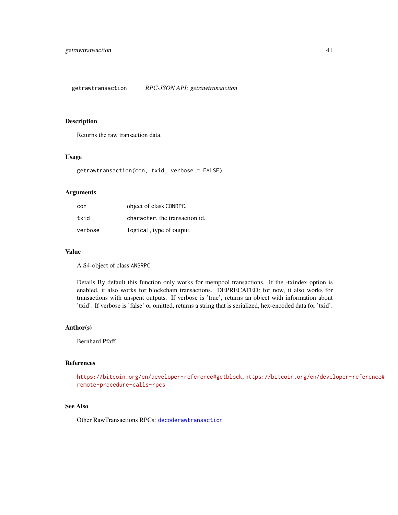<span id="page-40-0"></span>Returns the raw transaction data.

# Usage

getrawtransaction(con, txid, verbose = FALSE)

# Arguments

| con     | object of class CONRPC.        |
|---------|--------------------------------|
| txid    | character, the transaction id. |
| verbose | logical, type of output.       |

#### Value

A S4-object of class ANSRPC.

Details By default this function only works for mempool transactions. If the -txindex option is enabled, it also works for blockchain transactions. DEPRECATED: for now, it also works for transactions with unspent outputs. If verbose is 'true', returns an object with information about 'txid'. If verbose is 'false' or omitted, returns a string that is serialized, hex-encoded data for 'txid'.

#### Author(s)

Bernhard Pfaff

#### References

<https://bitcoin.org/en/developer-reference#getblock>, [https://bitcoin.org/en/devel](https://bitcoin.org/en/developer-reference#remote-procedure-calls-rpcs)oper-reference# [remote-procedure-calls-rpcs](https://bitcoin.org/en/developer-reference#remote-procedure-calls-rpcs)

# See Also

Other RawTransactions RPCs: [decoderawtransaction](#page-15-0)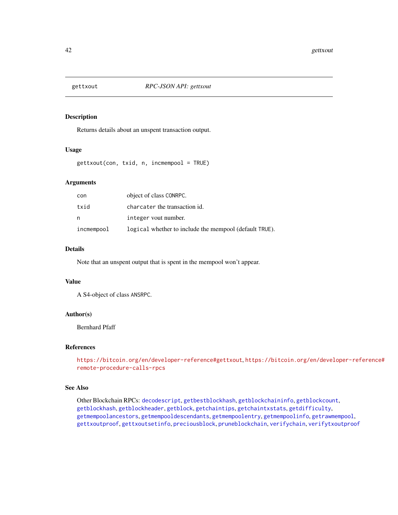<span id="page-41-1"></span><span id="page-41-0"></span>

Returns details about an unspent transaction output.

# Usage

gettxout(con, txid, n, incmempool = TRUE)

# Arguments

| con        | object of class CONRPC.                                |
|------------|--------------------------------------------------------|
| txid       | charcater the transaction id.                          |
| n          | integer vout number.                                   |
| incmempool | logical whether to include the mempool (default TRUE). |

#### Details

Note that an unspent output that is spent in the mempool won't appear.

#### Value

A S4-object of class ANSRPC.

# Author(s)

Bernhard Pfaff

# References

<https://bitcoin.org/en/developer-reference#gettxout>, [https://bitcoin.org/en/devel](https://bitcoin.org/en/developer-reference#remote-procedure-calls-rpcs)oper-reference# [remote-procedure-calls-rpcs](https://bitcoin.org/en/developer-reference#remote-procedure-calls-rpcs)

# See Also

Other Blockchain RPCs: [decodescript](#page-16-0), [getbestblockhash](#page-23-0), [getblockchaininfo](#page-25-0), [getblockcount](#page-26-0), [getblockhash](#page-26-1), [getblockheader](#page-27-0), [getblock](#page-24-0), [getchaintips](#page-28-0), [getchaintxstats](#page-29-0), [getdifficulty](#page-30-0), [getmempoolancestors](#page-33-0), [getmempooldescendants](#page-34-0), [getmempoolentry](#page-35-0), [getmempoolinfo](#page-36-1), [getrawmempool](#page-39-0), [gettxoutproof](#page-42-0), [gettxoutsetinfo](#page-43-0), [preciousblock](#page-52-0), [pruneblockchain](#page-55-0), [verifychain](#page-66-0), [verifytxoutproof](#page-67-0)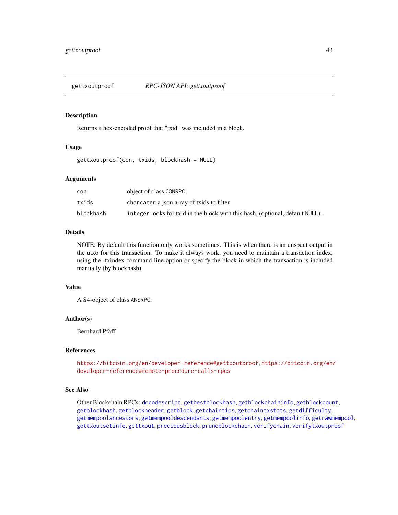<span id="page-42-1"></span><span id="page-42-0"></span>

Returns a hex-encoded proof that "txid" was included in a block.

#### Usage

gettxoutproof(con, txids, blockhash = NULL)

# Arguments

| con       | object of class CONRPC.                                                       |
|-----------|-------------------------------------------------------------------------------|
| txids     | charcater a json array of txids to filter.                                    |
| blockhash | integer looks for txid in the block with this hash, (optional, default NULL). |

# Details

NOTE: By default this function only works sometimes. This is when there is an unspent output in the utxo for this transaction. To make it always work, you need to maintain a transaction index, using the -txindex command line option or specify the block in which the transaction is included manually (by blockhash).

# Value

A S4-object of class ANSRPC.

#### Author(s)

Bernhard Pfaff

# References

<https://bitcoin.org/en/developer-reference#gettxoutproof>, [https://bitcoin.org/en/](https://bitcoin.org/en/developer-reference#remote-procedure-calls-rpcs) [developer-reference#remote-procedure-calls-rpcs](https://bitcoin.org/en/developer-reference#remote-procedure-calls-rpcs)

# See Also

Other Blockchain RPCs: [decodescript](#page-16-0), [getbestblockhash](#page-23-0), [getblockchaininfo](#page-25-0), [getblockcount](#page-26-0), [getblockhash](#page-26-1), [getblockheader](#page-27-0), [getblock](#page-24-0), [getchaintips](#page-28-0), [getchaintxstats](#page-29-0), [getdifficulty](#page-30-0), [getmempoolancestors](#page-33-0), [getmempooldescendants](#page-34-0), [getmempoolentry](#page-35-0), [getmempoolinfo](#page-36-1), [getrawmempool](#page-39-0), [gettxoutsetinfo](#page-43-0), [gettxout](#page-41-0), [preciousblock](#page-52-0), [pruneblockchain](#page-55-0), [verifychain](#page-66-0), [verifytxoutproof](#page-67-0)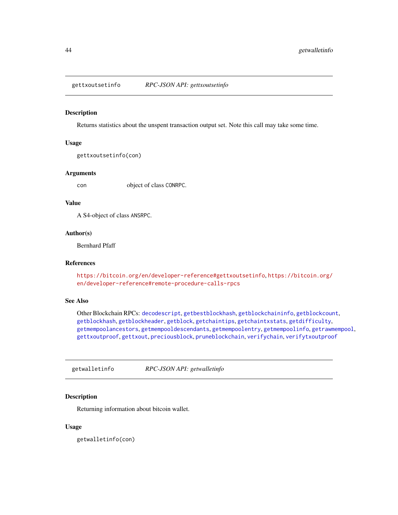<span id="page-43-1"></span><span id="page-43-0"></span>gettxoutsetinfo *RPC-JSON API: gettxoutsetinfo*

#### Description

Returns statistics about the unspent transaction output set. Note this call may take some time.

# Usage

```
gettxoutsetinfo(con)
```
#### Arguments

con object of class CONRPC.

#### Value

A S4-object of class ANSRPC.

#### Author(s)

Bernhard Pfaff

# References

<https://bitcoin.org/en/developer-reference#gettxoutsetinfo>, [https://bitcoin.org/](https://bitcoin.org/en/developer-reference#remote-procedure-calls-rpcs) [en/developer-reference#remote-procedure-calls-rpcs](https://bitcoin.org/en/developer-reference#remote-procedure-calls-rpcs)

# See Also

Other Blockchain RPCs: [decodescript](#page-16-0), [getbestblockhash](#page-23-0), [getblockchaininfo](#page-25-0), [getblockcount](#page-26-0), [getblockhash](#page-26-1), [getblockheader](#page-27-0), [getblock](#page-24-0), [getchaintips](#page-28-0), [getchaintxstats](#page-29-0), [getdifficulty](#page-30-0), [getmempoolancestors](#page-33-0), [getmempooldescendants](#page-34-0), [getmempoolentry](#page-35-0), [getmempoolinfo](#page-36-1), [getrawmempool](#page-39-0), [gettxoutproof](#page-42-0), [gettxout](#page-41-0), [preciousblock](#page-52-0), [pruneblockchain](#page-55-0), [verifychain](#page-66-0), [verifytxoutproof](#page-67-0)

getwalletinfo *RPC-JSON API: getwalletinfo*

# Description

Returning information about bitcoin wallet.

#### Usage

getwalletinfo(con)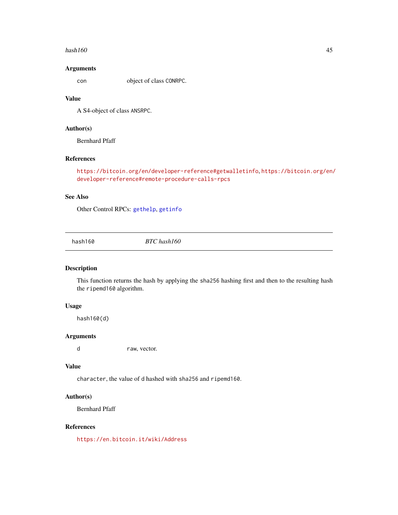#### <span id="page-44-1"></span> $\mu$ hash160 45

# Arguments

con object of class CONRPC.

# Value

A S4-object of class ANSRPC.

# Author(s)

Bernhard Pfaff

# References

```
https://bitcoin.org/en/developer-reference#getwalletinfo, https://bitcoin.org/en/
developer-reference#remote-procedure-calls-rpcs
```
# See Also

Other Control RPCs: [gethelp](#page-31-0), [getinfo](#page-32-0)

<span id="page-44-0"></span>hash160 *BTC hash160*

# Description

This function returns the hash by applying the sha256 hashing first and then to the resulting hash the ripemd160 algorithm.

# Usage

hash160(d)

# Arguments

d raw, vector.

# Value

character, the value of d hashed with sha256 and ripemd160.

# Author(s)

Bernhard Pfaff

# References

<https://en.bitcoin.it/wiki/Address>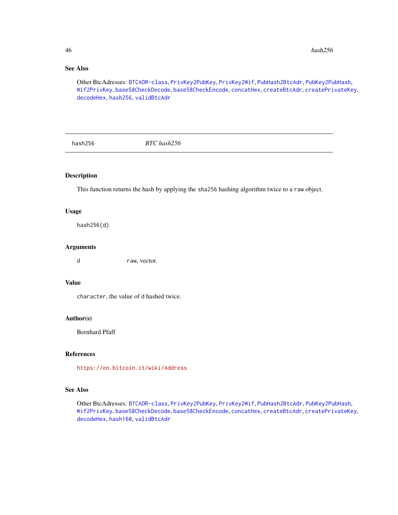# See Also

Other BtcAdresses: [BTCADR-class](#page-8-1), [PrivKey2PubKey](#page-53-0), [PrivKey2Wif](#page-54-0), [PubHash2BtcAdr](#page-56-0), [PubKey2PubHash](#page-56-1), [Wif2PrivKey](#page-68-0), [base58CheckDecode](#page-4-0), [base58CheckEncode](#page-5-0), [concatHex](#page-9-0), [createBtcAdr](#page-12-0), [createPrivateKey](#page-13-0), [decodeHex](#page-14-0), [hash256](#page-45-0), [validBtcAdr](#page-66-1)

<span id="page-45-0"></span>hash256 *BTC hash256*

# Description

This function returns the hash by applying the sha256 hashing algorithm twice to a raw object.

# Usage

hash256(d)

#### Arguments

d raw, vector.

#### Value

character, the value of d hashed twice.

# Author(s)

Bernhard Pfaff

# References

<https://en.bitcoin.it/wiki/Address>

#### See Also

Other BtcAdresses: [BTCADR-class](#page-8-1), [PrivKey2PubKey](#page-53-0), [PrivKey2Wif](#page-54-0), [PubHash2BtcAdr](#page-56-0), [PubKey2PubHash](#page-56-1), [Wif2PrivKey](#page-68-0), [base58CheckDecode](#page-4-0), [base58CheckEncode](#page-5-0), [concatHex](#page-9-0), [createBtcAdr](#page-12-0), [createPrivateKey](#page-13-0), [decodeHex](#page-14-0), [hash160](#page-44-0), [validBtcAdr](#page-66-1)

<span id="page-45-1"></span>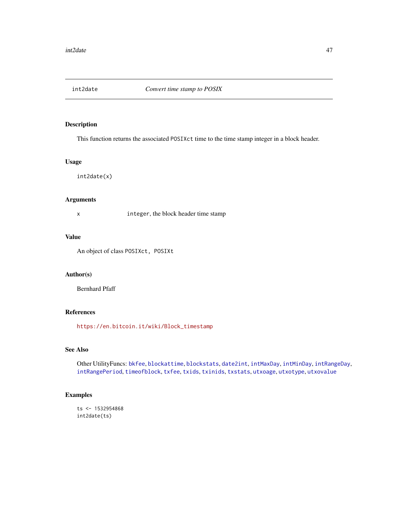<span id="page-46-1"></span><span id="page-46-0"></span>

This function returns the associated POSIXct time to the time stamp integer in a block header.

#### Usage

int2date(x)

#### Arguments

x integer, the block header time stamp

# Value

An object of class POSIXct, POSIXt

#### Author(s)

Bernhard Pfaff

# References

[https://en.bitcoin.it/wiki/Block\\_timestamp](https://en.bitcoin.it/wiki/Block_timestamp)

# See Also

Other UtilityFuncs: [bkfee](#page-6-0), [blockattime](#page-6-1), [blockstats](#page-7-0), [date2int](#page-14-1), [intMaxDay](#page-47-0), [intMinDay](#page-47-1), [intRangeDay](#page-48-0), [intRangePeriod](#page-49-0), [timeofblock](#page-60-0), [txfee](#page-61-0), [txids](#page-62-0), [txinids](#page-62-1), [txstats](#page-63-0), [utxoage](#page-64-0), [utxotype](#page-64-1), [utxovalue](#page-65-0)

# Examples

ts <- 1532954868 int2date(ts)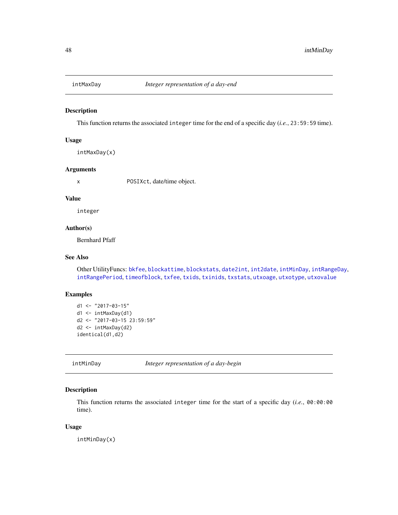<span id="page-47-2"></span><span id="page-47-0"></span>

This function returns the associated integer time for the end of a specific day (*i.e.*, 23:59:59 time).

#### Usage

intMaxDay(x)

#### Arguments

x POSIXct, date/time object.

#### Value

integer

# Author(s)

Bernhard Pfaff

#### See Also

Other UtilityFuncs: [bkfee](#page-6-0), [blockattime](#page-6-1), [blockstats](#page-7-0), [date2int](#page-14-1), [int2date](#page-46-0), [intMinDay](#page-47-1), [intRangeDay](#page-48-0), [intRangePeriod](#page-49-0), [timeofblock](#page-60-0), [txfee](#page-61-0), [txids](#page-62-0), [txinids](#page-62-1), [txstats](#page-63-0), [utxoage](#page-64-0), [utxotype](#page-64-1), [utxovalue](#page-65-0)

# Examples

```
d1 <- "2017-03-15"
d1 <- intMaxDay(d1)
d2 <- "2017-03-15 23:59:59"
d2 <- intMaxDay(d2)
identical(d1,d2)
```
<span id="page-47-1"></span>intMinDay *Integer representation of a day-begin*

# Description

This function returns the associated integer time for the start of a specific day (*i.e.*, 00:00:00 time).

#### Usage

intMinDay(x)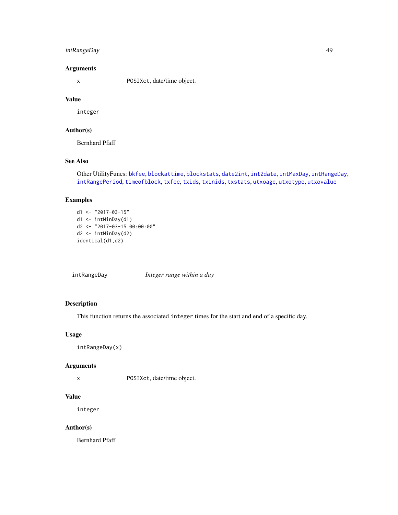# <span id="page-48-1"></span>intRangeDay 49

# Arguments

x POSIXct, date/time object.

#### Value

integer

# Author(s)

Bernhard Pfaff

# See Also

Other UtilityFuncs: [bkfee](#page-6-0), [blockattime](#page-6-1), [blockstats](#page-7-0), [date2int](#page-14-1), [int2date](#page-46-0), [intMaxDay](#page-47-0), [intRangeDay](#page-48-0), [intRangePeriod](#page-49-0), [timeofblock](#page-60-0), [txfee](#page-61-0), [txids](#page-62-0), [txinids](#page-62-1), [txstats](#page-63-0), [utxoage](#page-64-0), [utxotype](#page-64-1), [utxovalue](#page-65-0)

# Examples

```
d1 <- "2017-03-15"
d1 <- intMinDay(d1)
d2 <- "2017-03-15 00:00:00"
d2 <- intMinDay(d2)
identical(d1,d2)
```
<span id="page-48-0"></span>intRangeDay *Integer range within a day*

# Description

This function returns the associated integer times for the start and end of a specific day.

#### Usage

intRangeDay(x)

# Arguments

x POSIXct, date/time object.

# Value

integer

# Author(s)

Bernhard Pfaff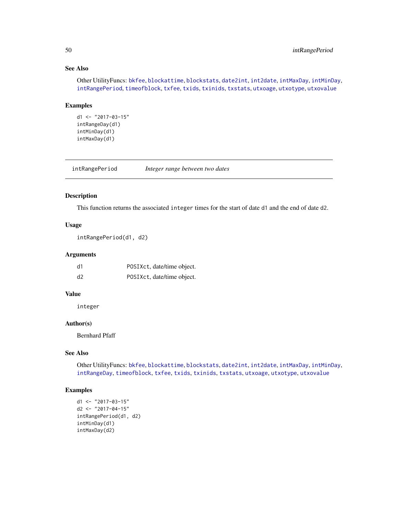# See Also

Other UtilityFuncs: [bkfee](#page-6-0), [blockattime](#page-6-1), [blockstats](#page-7-0), [date2int](#page-14-1), [int2date](#page-46-0), [intMaxDay](#page-47-0), [intMinDay](#page-47-1), [intRangePeriod](#page-49-0), [timeofblock](#page-60-0), [txfee](#page-61-0), [txids](#page-62-0), [txinids](#page-62-1), [txstats](#page-63-0), [utxoage](#page-64-0), [utxotype](#page-64-1), [utxovalue](#page-65-0)

#### Examples

```
d1 <- "2017-03-15"
intRangeDay(d1)
intMinDay(d1)
intMaxDay(d1)
```
<span id="page-49-0"></span>intRangePeriod *Integer range between two dates*

#### Description

This function returns the associated integer times for the start of date d1 and the end of date d2.

# Usage

```
intRangePeriod(d1, d2)
```
#### Arguments

| d1 | POSIXct, date/time object. |
|----|----------------------------|
| d2 | POSIXct, date/time object. |

# Value

integer

# Author(s)

Bernhard Pfaff

# See Also

Other UtilityFuncs: [bkfee](#page-6-0), [blockattime](#page-6-1), [blockstats](#page-7-0), [date2int](#page-14-1), [int2date](#page-46-0), [intMaxDay](#page-47-0), [intMinDay](#page-47-1), [intRangeDay](#page-48-0), [timeofblock](#page-60-0), [txfee](#page-61-0), [txids](#page-62-0), [txinids](#page-62-1), [txstats](#page-63-0), [utxoage](#page-64-0), [utxotype](#page-64-1), [utxovalue](#page-65-0)

# Examples

```
d1 <- "2017-03-15"
d2 <- "2017-04-15"
intRangePeriod(d1, d2)
intMinDay(d1)
intMaxDay(d2)
```
<span id="page-49-1"></span>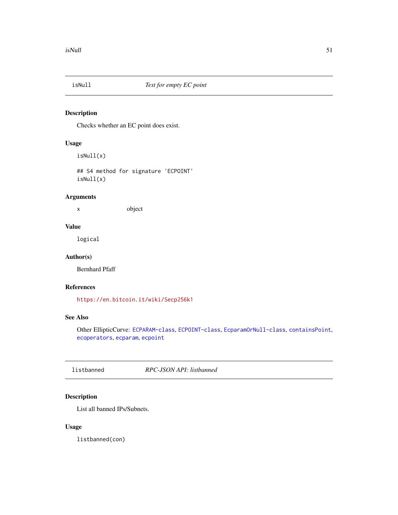<span id="page-50-1"></span>

Checks whether an EC point does exist.

# Usage

isNull(x)

## S4 method for signature 'ECPOINT' isNull(x)

# Arguments

x object

# Value

logical

# Author(s)

Bernhard Pfaff

# References

<https://en.bitcoin.it/wiki/Secp256k1>

# See Also

Other EllipticCurve: [ECPARAM-class](#page-20-0), [ECPOINT-class](#page-22-0), [EcparamOrNull-class](#page-20-1), [containsPoint](#page-11-0), [ecoperators](#page-18-0), [ecparam](#page-19-0), [ecpoint](#page-21-0)

<span id="page-50-0"></span>listbanned *RPC-JSON API: listbanned*

# Description

List all banned IPs/Subnets.

# Usage

listbanned(con)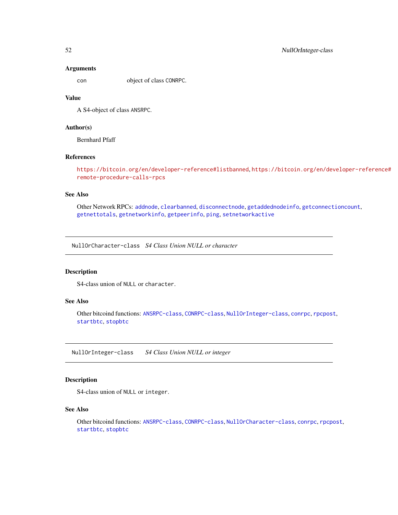#### **Arguments**

con object of class CONRPC.

#### Value

A S4-object of class ANSRPC.

# Author(s)

Bernhard Pfaff

# References

<https://bitcoin.org/en/developer-reference#listbanned>, [https://bitcoin.org/en/dev](https://bitcoin.org/en/developer-reference#remote-procedure-calls-rpcs)eloper-reference# [remote-procedure-calls-rpcs](https://bitcoin.org/en/developer-reference#remote-procedure-calls-rpcs)

# See Also

Other Network RPCs: [addnode](#page-2-0), [clearbanned](#page-8-0), [disconnectnode](#page-17-0), [getaddednodeinfo](#page-23-1), [getconnectioncount](#page-30-1), [getnettotals](#page-36-0), [getnetworkinfo](#page-37-0), [getpeerinfo](#page-38-0), [ping](#page-52-1), [setnetworkactive](#page-58-0)

<span id="page-51-1"></span>NullOrCharacter-class *S4 Class Union NULL or character*

# Description

S4-class union of NULL or character.

# See Also

Other bitcoind functions: [ANSRPC-class](#page-3-0), [CONRPC-class](#page-11-1), [NullOrInteger-class](#page-51-0), [conrpc](#page-10-0), [rpcpost](#page-57-0), [startbtc](#page-59-0), [stopbtc](#page-60-1)

<span id="page-51-0"></span>NullOrInteger-class *S4 Class Union NULL or integer*

# Description

S4-class union of NULL or integer.

#### See Also

Other bitcoind functions: [ANSRPC-class](#page-3-0), [CONRPC-class](#page-11-1), [NullOrCharacter-class](#page-51-1), [conrpc](#page-10-0), [rpcpost](#page-57-0), [startbtc](#page-59-0), [stopbtc](#page-60-1)

<span id="page-51-2"></span>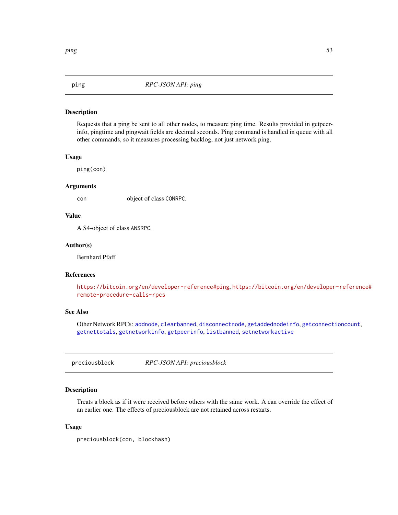<span id="page-52-2"></span><span id="page-52-1"></span>

Requests that a ping be sent to all other nodes, to measure ping time. Results provided in getpeerinfo, pingtime and pingwait fields are decimal seconds. Ping command is handled in queue with all other commands, so it measures processing backlog, not just network ping.

#### Usage

ping(con)

#### **Arguments**

con object of class CONRPC.

#### Value

A S4-object of class ANSRPC.

#### Author(s)

Bernhard Pfaff

#### References

<https://bitcoin.org/en/developer-reference#ping>, [https://bitcoin.org/en/developer](https://bitcoin.org/en/developer-reference#remote-procedure-calls-rpcs)-reference# [remote-procedure-calls-rpcs](https://bitcoin.org/en/developer-reference#remote-procedure-calls-rpcs)

# See Also

Other Network RPCs: [addnode](#page-2-0), [clearbanned](#page-8-0), [disconnectnode](#page-17-0), [getaddednodeinfo](#page-23-1), [getconnectioncount](#page-30-1), [getnettotals](#page-36-0), [getnetworkinfo](#page-37-0), [getpeerinfo](#page-38-0), [listbanned](#page-50-0), [setnetworkactive](#page-58-0)

<span id="page-52-0"></span>preciousblock *RPC-JSON API: preciousblock*

# Description

Treats a block as if it were received before others with the same work. A can override the effect of an earlier one. The effects of preciousblock are not retained across restarts.

#### Usage

preciousblock(con, blockhash)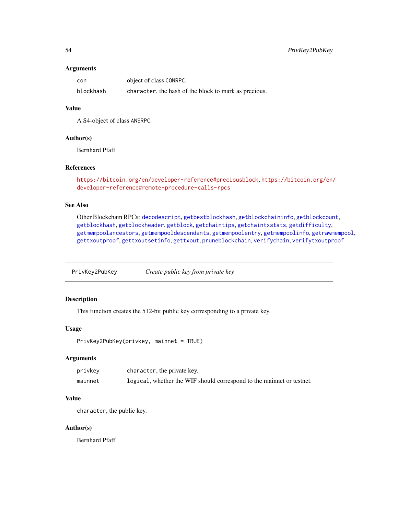#### <span id="page-53-1"></span>Arguments

| con       | object of class CONRPC.                               |
|-----------|-------------------------------------------------------|
| blockhash | character, the hash of the block to mark as precious. |

# Value

A S4-object of class ANSRPC.

#### Author(s)

Bernhard Pfaff

# References

<https://bitcoin.org/en/developer-reference#preciousblock>, [https://bitcoin.org/en/](https://bitcoin.org/en/developer-reference#remote-procedure-calls-rpcs) [developer-reference#remote-procedure-calls-rpcs](https://bitcoin.org/en/developer-reference#remote-procedure-calls-rpcs)

# See Also

Other Blockchain RPCs: [decodescript](#page-16-0), [getbestblockhash](#page-23-0), [getblockchaininfo](#page-25-0), [getblockcount](#page-26-0), [getblockhash](#page-26-1), [getblockheader](#page-27-0), [getblock](#page-24-0), [getchaintips](#page-28-0), [getchaintxstats](#page-29-0), [getdifficulty](#page-30-0), [getmempoolancestors](#page-33-0), [getmempooldescendants](#page-34-0), [getmempoolentry](#page-35-0), [getmempoolinfo](#page-36-1), [getrawmempool](#page-39-0), [gettxoutproof](#page-42-0), [gettxoutsetinfo](#page-43-0), [gettxout](#page-41-0), [pruneblockchain](#page-55-0), [verifychain](#page-66-0), [verifytxoutproof](#page-67-0)

<span id="page-53-0"></span>PrivKey2PubKey *Create public key from private key*

# Description

This function creates the 512-bit public key corresponding to a private key.

# Usage

```
PrivKey2PubKey(privkey, mainnet = TRUE)
```
# **Arguments**

| privkey | character, the private key.                                            |
|---------|------------------------------------------------------------------------|
| mainnet | logical, whether the WIF should correspond to the main et or test net. |

#### Value

character, the public key.

#### Author(s)

Bernhard Pfaff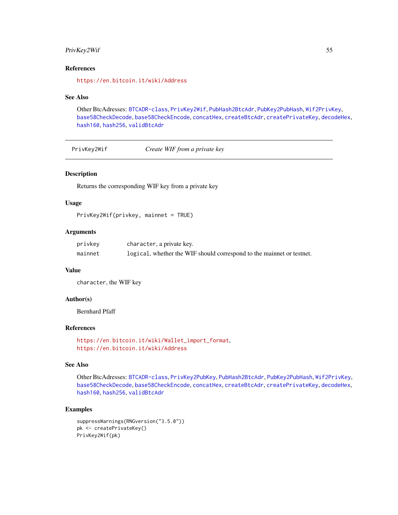#### <span id="page-54-1"></span>PrivKey2Wif 55

# References

<https://en.bitcoin.it/wiki/Address>

#### See Also

Other BtcAdresses: [BTCADR-class](#page-8-1), [PrivKey2Wif](#page-54-0), [PubHash2BtcAdr](#page-56-0), [PubKey2PubHash](#page-56-1), [Wif2PrivKey](#page-68-0), [base58CheckDecode](#page-4-0), [base58CheckEncode](#page-5-0), [concatHex](#page-9-0), [createBtcAdr](#page-12-0), [createPrivateKey](#page-13-0), [decodeHex](#page-14-0), [hash160](#page-44-0), [hash256](#page-45-0), [validBtcAdr](#page-66-1)

<span id="page-54-0"></span>PrivKey2Wif *Create WIF from a private key*

#### Description

Returns the corresponding WIF key from a private key

#### Usage

PrivKey2Wif(privkey, mainnet = TRUE)

# Arguments

| privkey | character, a private key.                                              |
|---------|------------------------------------------------------------------------|
| mainnet | logical, whether the WIF should correspond to the main et or test net. |

# Value

character, the WIF key

#### Author(s)

Bernhard Pfaff

#### References

```
https://en.bitcoin.it/wiki/Wallet_import_format,
https://en.bitcoin.it/wiki/Address
```
# See Also

Other BtcAdresses: [BTCADR-class](#page-8-1), [PrivKey2PubKey](#page-53-0), [PubHash2BtcAdr](#page-56-0), [PubKey2PubHash](#page-56-1), [Wif2PrivKey](#page-68-0), [base58CheckDecode](#page-4-0), [base58CheckEncode](#page-5-0), [concatHex](#page-9-0), [createBtcAdr](#page-12-0), [createPrivateKey](#page-13-0), [decodeHex](#page-14-0), [hash160](#page-44-0), [hash256](#page-45-0), [validBtcAdr](#page-66-1)

#### Examples

```
suppressWarnings(RNGversion("3.5.0"))
pk <- createPrivateKey()
PrivKey2Wif(pk)
```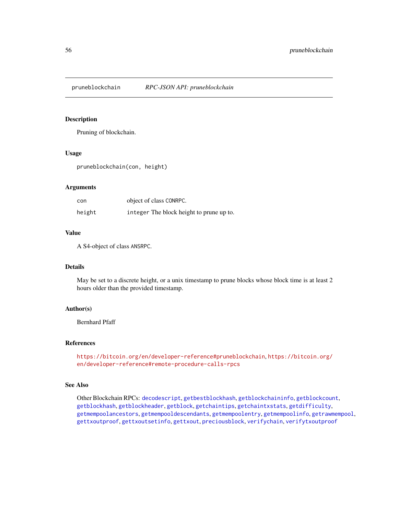<span id="page-55-1"></span><span id="page-55-0"></span>

Pruning of blockchain.

#### Usage

pruneblockchain(con, height)

#### Arguments

| con    | object of class CONRPC.                  |
|--------|------------------------------------------|
| height | integer The block height to prune up to. |

# Value

A S4-object of class ANSRPC.

#### Details

May be set to a discrete height, or a unix timestamp to prune blocks whose block time is at least 2 hours older than the provided timestamp.

#### Author(s)

Bernhard Pfaff

# References

<https://bitcoin.org/en/developer-reference#pruneblockchain>, [https://bitcoin.org/](https://bitcoin.org/en/developer-reference#remote-procedure-calls-rpcs) [en/developer-reference#remote-procedure-calls-rpcs](https://bitcoin.org/en/developer-reference#remote-procedure-calls-rpcs)

#### See Also

Other Blockchain RPCs: [decodescript](#page-16-0), [getbestblockhash](#page-23-0), [getblockchaininfo](#page-25-0), [getblockcount](#page-26-0), [getblockhash](#page-26-1), [getblockheader](#page-27-0), [getblock](#page-24-0), [getchaintips](#page-28-0), [getchaintxstats](#page-29-0), [getdifficulty](#page-30-0), [getmempoolancestors](#page-33-0), [getmempooldescendants](#page-34-0), [getmempoolentry](#page-35-0), [getmempoolinfo](#page-36-1), [getrawmempool](#page-39-0), [gettxoutproof](#page-42-0), [gettxoutsetinfo](#page-43-0), [gettxout](#page-41-0), [preciousblock](#page-52-0), [verifychain](#page-66-0), [verifytxoutproof](#page-67-0)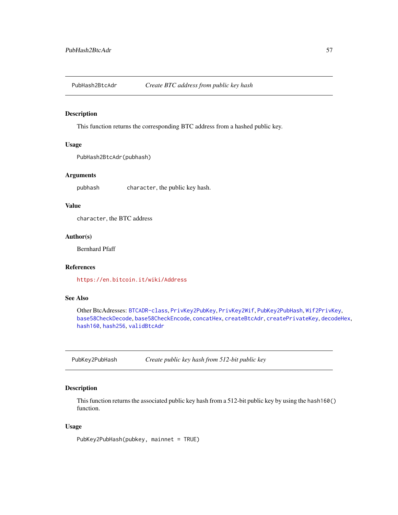<span id="page-56-2"></span><span id="page-56-0"></span>

This function returns the corresponding BTC address from a hashed public key.

# Usage

```
PubHash2BtcAdr(pubhash)
```
# Arguments

pubhash character, the public key hash.

#### Value

character, the BTC address

#### Author(s)

Bernhard Pfaff

# References

<https://en.bitcoin.it/wiki/Address>

# See Also

Other BtcAdresses: [BTCADR-class](#page-8-1), [PrivKey2PubKey](#page-53-0), [PrivKey2Wif](#page-54-0), [PubKey2PubHash](#page-56-1), [Wif2PrivKey](#page-68-0), [base58CheckDecode](#page-4-0), [base58CheckEncode](#page-5-0), [concatHex](#page-9-0), [createBtcAdr](#page-12-0), [createPrivateKey](#page-13-0), [decodeHex](#page-14-0), [hash160](#page-44-0), [hash256](#page-45-0), [validBtcAdr](#page-66-1)

<span id="page-56-1"></span>PubKey2PubHash *Create public key hash from 512-bit public key*

# Description

This function returns the associated public key hash from a 512-bit public key by using the hash160() function.

# Usage

PubKey2PubHash(pubkey, mainnet = TRUE)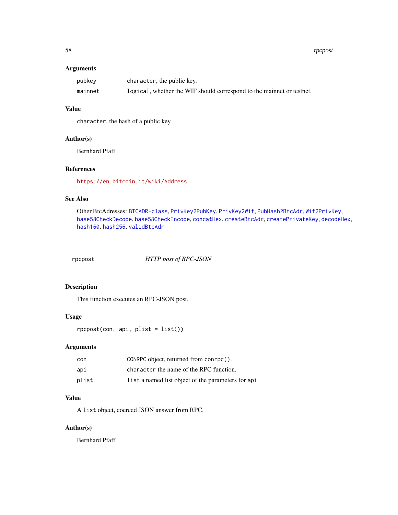<span id="page-57-1"></span>58 rpcpost and the contract of the contract of the contract of the contract of the contract of the contract of the contract of the contract of the contract of the contract of the contract of the contract of the contract of

# Arguments

| pubkey  | character, the public key.                                             |
|---------|------------------------------------------------------------------------|
| mainnet | logical, whether the WIF should correspond to the mainer or test test. |

# Value

character, the hash of a public key

#### Author(s)

Bernhard Pfaff

# References

<https://en.bitcoin.it/wiki/Address>

# See Also

Other BtcAdresses: [BTCADR-class](#page-8-1), [PrivKey2PubKey](#page-53-0), [PrivKey2Wif](#page-54-0), [PubHash2BtcAdr](#page-56-0), [Wif2PrivKey](#page-68-0), [base58CheckDecode](#page-4-0), [base58CheckEncode](#page-5-0), [concatHex](#page-9-0), [createBtcAdr](#page-12-0), [createPrivateKey](#page-13-0), [decodeHex](#page-14-0), [hash160](#page-44-0), [hash256](#page-45-0), [validBtcAdr](#page-66-1)

<span id="page-57-0"></span>rpcpost *HTTP post of RPC-JSON*

# Description

This function executes an RPC-JSON post.

# Usage

rpcpost(con, api, plist = list())

# Arguments

| con   | CONRPC object, returned from conrpc().             |
|-------|----------------------------------------------------|
| api   | character the name of the RPC function.            |
| plist | list a named list object of the parameters for api |

# Value

A list object, coerced JSON answer from RPC.

# Author(s)

Bernhard Pfaff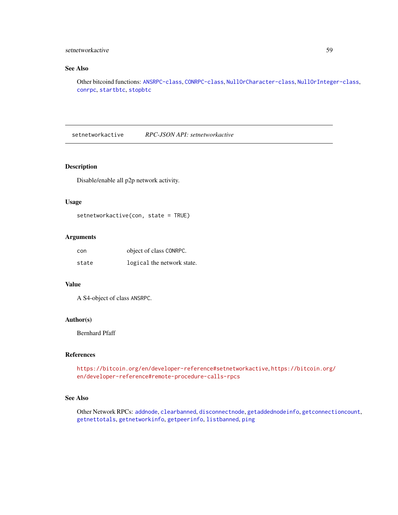# <span id="page-58-1"></span>setnetworkactive 59

# See Also

Other bitcoind functions: [ANSRPC-class](#page-3-0), [CONRPC-class](#page-11-1), [NullOrCharacter-class](#page-51-1), [NullOrInteger-class](#page-51-0), [conrpc](#page-10-0), [startbtc](#page-59-0), [stopbtc](#page-60-1)

<span id="page-58-0"></span>setnetworkactive *RPC-JSON API: setnetworkactive*

#### Description

Disable/enable all p2p network activity.

# Usage

```
setnetworkactive(con, state = TRUE)
```
# Arguments

| con   | object of class CONRPC.    |
|-------|----------------------------|
| state | logical the network state. |

# Value

A S4-object of class ANSRPC.

# Author(s)

Bernhard Pfaff

# References

<https://bitcoin.org/en/developer-reference#setnetworkactive>, [https://bitcoin.org/](https://bitcoin.org/en/developer-reference#remote-procedure-calls-rpcs) [en/developer-reference#remote-procedure-calls-rpcs](https://bitcoin.org/en/developer-reference#remote-procedure-calls-rpcs)

# See Also

Other Network RPCs: [addnode](#page-2-0), [clearbanned](#page-8-0), [disconnectnode](#page-17-0), [getaddednodeinfo](#page-23-1), [getconnectioncount](#page-30-1), [getnettotals](#page-36-0), [getnetworkinfo](#page-37-0), [getpeerinfo](#page-38-0), [listbanned](#page-50-0), [ping](#page-52-1)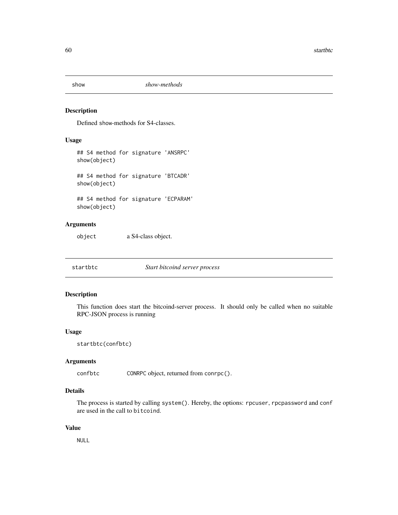<span id="page-59-1"></span>

Defined show-methods for S4-classes.

#### Usage

```
## S4 method for signature 'ANSRPC'
show(object)
## S4 method for signature 'BTCADR'
show(object)
```
## S4 method for signature 'ECPARAM' show(object)

# Arguments

object a S4-class object.

<span id="page-59-0"></span>startbtc *Start bitcoind server process*

# Description

This function does start the bitcoind-server process. It should only be called when no suitable RPC-JSON process is running

# Usage

```
startbtc(confbtc)
```
# Arguments

confbtc CONRPC object, returned from conrpc().

# Details

The process is started by calling system(). Hereby, the options: rpcuser, rpcpassword and conf are used in the call to bitcoind.

#### Value

NULL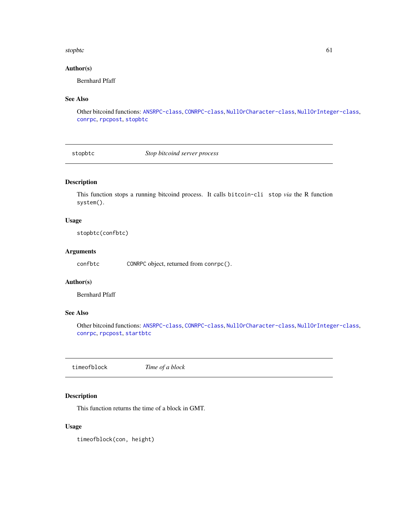#### <span id="page-60-2"></span>stopbtc 61

# Author(s)

Bernhard Pfaff

# See Also

Other bitcoind functions: [ANSRPC-class](#page-3-0), [CONRPC-class](#page-11-1), [NullOrCharacter-class](#page-51-1), [NullOrInteger-class](#page-51-0), [conrpc](#page-10-0), [rpcpost](#page-57-0), [stopbtc](#page-60-1)

<span id="page-60-1"></span>stopbtc *Stop bitcoind server process*

# Description

This function stops a running bitcoind process. It calls bitcoin-cli stop *via* the R function system().

#### Usage

stopbtc(confbtc)

# Arguments

confbtc CONRPC object, returned from conrpc().

# Author(s)

Bernhard Pfaff

# See Also

Other bitcoind functions: [ANSRPC-class](#page-3-0), [CONRPC-class](#page-11-1), [NullOrCharacter-class](#page-51-1), [NullOrInteger-class](#page-51-0), [conrpc](#page-10-0), [rpcpost](#page-57-0), [startbtc](#page-59-0)

<span id="page-60-0"></span>timeofblock *Time of a block*

# Description

This function returns the time of a block in GMT.

# Usage

timeofblock(con, height)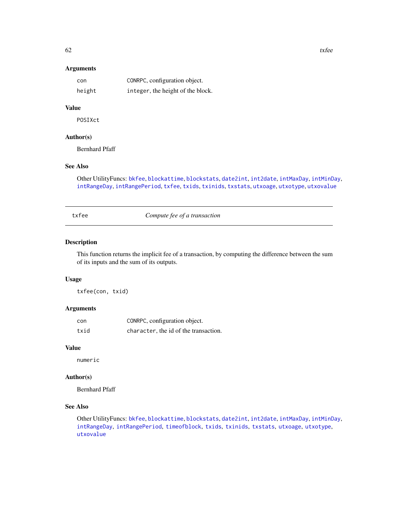# Arguments

| con    | CONRPC, configuration object.     |
|--------|-----------------------------------|
| height | integer, the height of the block. |

# Value

POSIXct

# Author(s)

Bernhard Pfaff

# See Also

Other UtilityFuncs: [bkfee](#page-6-0), [blockattime](#page-6-1), [blockstats](#page-7-0), [date2int](#page-14-1), [int2date](#page-46-0), [intMaxDay](#page-47-0), [intMinDay](#page-47-1), [intRangeDay](#page-48-0), [intRangePeriod](#page-49-0), [txfee](#page-61-0), [txids](#page-62-0), [txinids](#page-62-1), [txstats](#page-63-0), [utxoage](#page-64-0), [utxotype](#page-64-1), [utxovalue](#page-65-0)

<span id="page-61-0"></span>

txfee *Compute fee of a transaction*

#### Description

This function returns the implicit fee of a transaction, by computing the difference between the sum of its inputs and the sum of its outputs.

# Usage

txfee(con, txid)

# Arguments

| con  | CONRPC, configuration object.         |
|------|---------------------------------------|
| txid | character, the id of the transaction. |

# Value

numeric

#### Author(s)

Bernhard Pfaff

# See Also

Other UtilityFuncs: [bkfee](#page-6-0), [blockattime](#page-6-1), [blockstats](#page-7-0), [date2int](#page-14-1), [int2date](#page-46-0), [intMaxDay](#page-47-0), [intMinDay](#page-47-1), [intRangeDay](#page-48-0), [intRangePeriod](#page-49-0), [timeofblock](#page-60-0), [txids](#page-62-0), [txinids](#page-62-1), [txstats](#page-63-0), [utxoage](#page-64-0), [utxotype](#page-64-1), [utxovalue](#page-65-0)

<span id="page-61-1"></span> $62$  txfee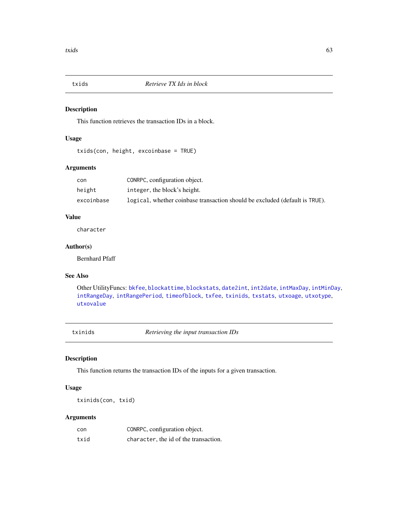<span id="page-62-2"></span><span id="page-62-0"></span>

This function retrieves the transaction IDs in a block.

#### Usage

```
txids(con, height, excoinbase = TRUE)
```
# Arguments

| con        | CONRPC, configuration object.                                               |
|------------|-----------------------------------------------------------------------------|
| height     | integer, the block's height.                                                |
| excoinbase | logical, whether coinbase transaction should be excluded (default is TRUE). |

# Value

character

# Author(s)

Bernhard Pfaff

# See Also

Other UtilityFuncs: [bkfee](#page-6-0), [blockattime](#page-6-1), [blockstats](#page-7-0), [date2int](#page-14-1), [int2date](#page-46-0), [intMaxDay](#page-47-0), [intMinDay](#page-47-1), [intRangeDay](#page-48-0), [intRangePeriod](#page-49-0), [timeofblock](#page-60-0), [txfee](#page-61-0), [txinids](#page-62-1), [txstats](#page-63-0), [utxoage](#page-64-0), [utxotype](#page-64-1), [utxovalue](#page-65-0)

<span id="page-62-1"></span>txinids *Retrieving the input transaction IDs*

# Description

This function returns the transaction IDs of the inputs for a given transaction.

### Usage

txinids(con, txid)

# Arguments

| con  | CONRPC, configuration object.         |
|------|---------------------------------------|
| txid | character, the id of the transaction. |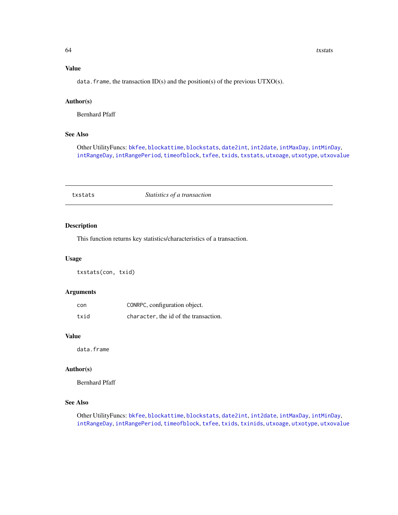# <span id="page-63-1"></span>Value

data. frame, the transaction ID(s) and the position(s) of the previous UTXO(s).

#### Author(s)

Bernhard Pfaff

#### See Also

Other UtilityFuncs: [bkfee](#page-6-0), [blockattime](#page-6-1), [blockstats](#page-7-0), [date2int](#page-14-1), [int2date](#page-46-0), [intMaxDay](#page-47-0), [intMinDay](#page-47-1), [intRangeDay](#page-48-0), [intRangePeriod](#page-49-0), [timeofblock](#page-60-0), [txfee](#page-61-0), [txids](#page-62-0), [txstats](#page-63-0), [utxoage](#page-64-0), [utxotype](#page-64-1), [utxovalue](#page-65-0)

<span id="page-63-0"></span>

| txstats | Statistics of a transaction |  |
|---------|-----------------------------|--|
|         |                             |  |

# Description

This function returns key statistics/characteristics of a transaction.

#### Usage

txstats(con, txid)

#### Arguments

| con  | CONRPC, configuration object.         |
|------|---------------------------------------|
| txid | character, the id of the transaction. |

#### Value

data.frame

#### Author(s)

Bernhard Pfaff

# See Also

Other UtilityFuncs: [bkfee](#page-6-0), [blockattime](#page-6-1), [blockstats](#page-7-0), [date2int](#page-14-1), [int2date](#page-46-0), [intMaxDay](#page-47-0), [intMinDay](#page-47-1), [intRangeDay](#page-48-0), [intRangePeriod](#page-49-0), [timeofblock](#page-60-0), [txfee](#page-61-0), [txids](#page-62-0), [txinids](#page-62-1), [utxoage](#page-64-0), [utxotype](#page-64-1), [utxovalue](#page-65-0)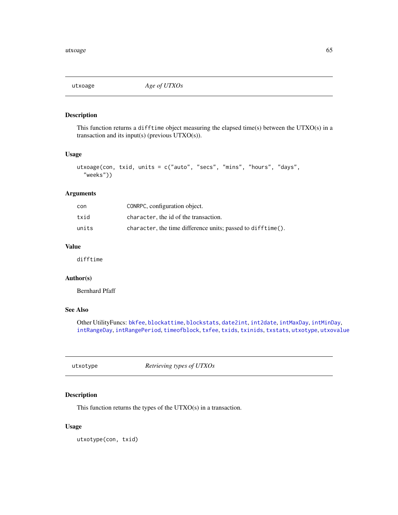<span id="page-64-2"></span><span id="page-64-0"></span>

This function returns a difftime object measuring the elapsed time(s) between the UTXO(s) in a transaction and its input(s) (previous UTXO(s)).

# Usage

```
utxoage(con, txid, units = c("auto", "secs", "mins", "hours", "days",
  "weeks"))
```
# Arguments

| con   | CONRPC, configuration object.                               |
|-------|-------------------------------------------------------------|
| txid  | character, the id of the transaction.                       |
| units | character, the time difference units; passed to difftime(). |

# Value

difftime

# Author(s)

Bernhard Pfaff

# See Also

Other UtilityFuncs: [bkfee](#page-6-0), [blockattime](#page-6-1), [blockstats](#page-7-0), [date2int](#page-14-1), [int2date](#page-46-0), [intMaxDay](#page-47-0), [intMinDay](#page-47-1), [intRangeDay](#page-48-0), [intRangePeriod](#page-49-0), [timeofblock](#page-60-0), [txfee](#page-61-0), [txids](#page-62-0), [txinids](#page-62-1), [txstats](#page-63-0), [utxotype](#page-64-1), [utxovalue](#page-65-0)

<span id="page-64-1"></span>utxotype *Retrieving types of UTXOs*

#### Description

This function returns the types of the UTXO(s) in a transaction.

# Usage

utxotype(con, txid)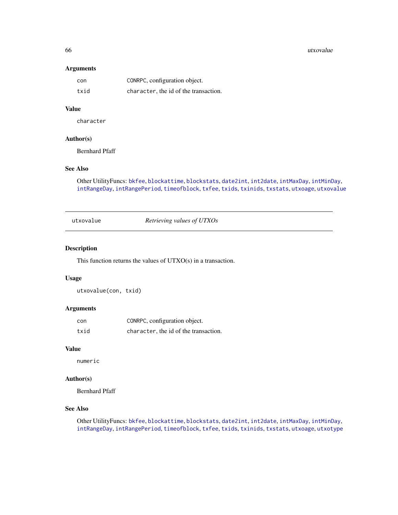#### <span id="page-65-1"></span>66 utxovalue

# Arguments

| con  | CONRPC, configuration object.         |
|------|---------------------------------------|
| txid | character, the id of the transaction. |

# Value

character

# Author(s)

Bernhard Pfaff

# See Also

Other UtilityFuncs: [bkfee](#page-6-0), [blockattime](#page-6-1), [blockstats](#page-7-0), [date2int](#page-14-1), [int2date](#page-46-0), [intMaxDay](#page-47-0), [intMinDay](#page-47-1), [intRangeDay](#page-48-0), [intRangePeriod](#page-49-0), [timeofblock](#page-60-0), [txfee](#page-61-0), [txids](#page-62-0), [txinids](#page-62-1), [txstats](#page-63-0), [utxoage](#page-64-0), [utxovalue](#page-65-0)

<span id="page-65-0"></span>utxovalue *Retrieving values of UTXOs*

#### Description

This function returns the values of UTXO(s) in a transaction.

# Usage

utxovalue(con, txid)

# Arguments

| con  | CONRPC, configuration object.         |
|------|---------------------------------------|
| txid | character, the id of the transaction. |

#### Value

numeric

# Author(s)

Bernhard Pfaff

# See Also

Other UtilityFuncs: [bkfee](#page-6-0), [blockattime](#page-6-1), [blockstats](#page-7-0), [date2int](#page-14-1), [int2date](#page-46-0), [intMaxDay](#page-47-0), [intMinDay](#page-47-1), [intRangeDay](#page-48-0), [intRangePeriod](#page-49-0), [timeofblock](#page-60-0), [txfee](#page-61-0), [txids](#page-62-0), [txinids](#page-62-1), [txstats](#page-63-0), [utxoage](#page-64-0), [utxotype](#page-64-1)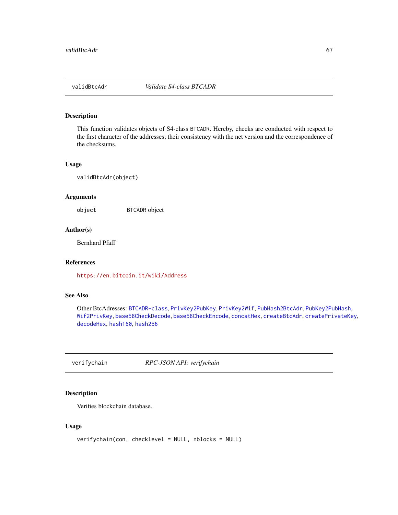<span id="page-66-2"></span><span id="page-66-1"></span>

This function validates objects of S4-class BTCADR. Hereby, checks are conducted with respect to the first character of the addresses; their consistency with the net version and the correspondence of the checksums.

# Usage

validBtcAdr(object)

# Arguments

object BTCADR object

# Author(s)

Bernhard Pfaff

#### References

<https://en.bitcoin.it/wiki/Address>

#### See Also

Other BtcAdresses: [BTCADR-class](#page-8-1), [PrivKey2PubKey](#page-53-0), [PrivKey2Wif](#page-54-0), [PubHash2BtcAdr](#page-56-0), [PubKey2PubHash](#page-56-1), [Wif2PrivKey](#page-68-0), [base58CheckDecode](#page-4-0), [base58CheckEncode](#page-5-0), [concatHex](#page-9-0), [createBtcAdr](#page-12-0), [createPrivateKey](#page-13-0), [decodeHex](#page-14-0), [hash160](#page-44-0), [hash256](#page-45-0)

<span id="page-66-0"></span>verifychain *RPC-JSON API: verifychain*

# Description

Verifies blockchain database.

# Usage

```
verifychain(con, checklevel = NULL, nblocks = NULL)
```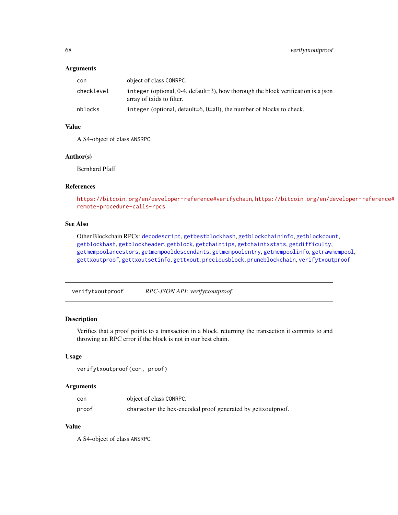#### Arguments

| con        | object of class CONRPC.                                                                                           |
|------------|-------------------------------------------------------------------------------------------------------------------|
| checklevel | integer (optional, $0-4$ , default=3), how thorough the block verification is a json<br>array of txids to filter. |
| nblocks    | integer (optional, default=6, $0=$ all), the number of blocks to check.                                           |

# Value

A S4-object of class ANSRPC.

# Author(s)

Bernhard Pfaff

# References

<https://bitcoin.org/en/developer-reference#verifychain>, [https://bitcoin.org/en/de](https://bitcoin.org/en/developer-reference#remote-procedure-calls-rpcs)veloper-reference# [remote-procedure-calls-rpcs](https://bitcoin.org/en/developer-reference#remote-procedure-calls-rpcs)

# See Also

Other Blockchain RPCs: [decodescript](#page-16-0), [getbestblockhash](#page-23-0), [getblockchaininfo](#page-25-0), [getblockcount](#page-26-0), [getblockhash](#page-26-1), [getblockheader](#page-27-0), [getblock](#page-24-0), [getchaintips](#page-28-0), [getchaintxstats](#page-29-0), [getdifficulty](#page-30-0), [getmempoolancestors](#page-33-0), [getmempooldescendants](#page-34-0), [getmempoolentry](#page-35-0), [getmempoolinfo](#page-36-1), [getrawmempool](#page-39-0), [gettxoutproof](#page-42-0), [gettxoutsetinfo](#page-43-0), [gettxout](#page-41-0), [preciousblock](#page-52-0), [pruneblockchain](#page-55-0), [verifytxoutproof](#page-67-0)

<span id="page-67-0"></span>verifytxoutproof *RPC-JSON API: verifytxoutproof*

# **Description**

Verifies that a proof points to a transaction in a block, returning the transaction it commits to and throwing an RPC error if the block is not in our best chain.

#### Usage

```
verifytxoutproof(con, proof)
```
# Arguments

| con   | object of class CONRPC.                                      |
|-------|--------------------------------------------------------------|
| proof | character the hex-encoded proof generated by gett xoutproof. |

# Value

A S4-object of class ANSRPC.

<span id="page-67-1"></span>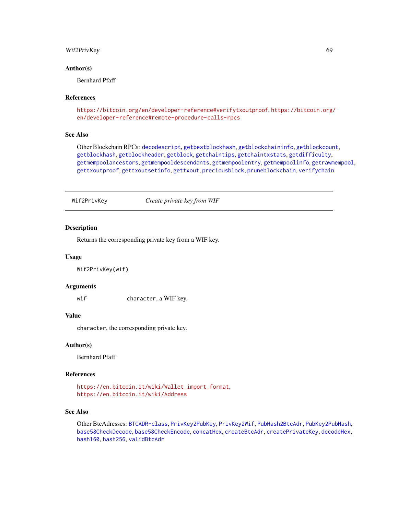#### <span id="page-68-1"></span>Wif2PrivKey 69

#### Author(s)

Bernhard Pfaff

#### References

```
https://bitcoin.org/en/developer-reference#verifytxoutproof, https://bitcoin.org/
en/developer-reference#remote-procedure-calls-rpcs
```
#### See Also

Other Blockchain RPCs: [decodescript](#page-16-0), [getbestblockhash](#page-23-0), [getblockchaininfo](#page-25-0), [getblockcount](#page-26-0), [getblockhash](#page-26-1), [getblockheader](#page-27-0), [getblock](#page-24-0), [getchaintips](#page-28-0), [getchaintxstats](#page-29-0), [getdifficulty](#page-30-0), [getmempoolancestors](#page-33-0), [getmempooldescendants](#page-34-0), [getmempoolentry](#page-35-0), [getmempoolinfo](#page-36-1), [getrawmempool](#page-39-0), [gettxoutproof](#page-42-0), [gettxoutsetinfo](#page-43-0), [gettxout](#page-41-0), [preciousblock](#page-52-0), [pruneblockchain](#page-55-0), [verifychain](#page-66-0)

<span id="page-68-0"></span>Wif2PrivKey *Create private key from WIF*

#### Description

Returns the corresponding private key from a WIF key.

#### Usage

Wif2PrivKey(wif)

#### Arguments

wif character, a WIF key.

#### Value

character, the corresponding private key.

#### Author(s)

Bernhard Pfaff

#### References

[https://en.bitcoin.it/wiki/Wallet\\_import\\_format](https://en.bitcoin.it/wiki/Wallet_import_format), <https://en.bitcoin.it/wiki/Address>

# See Also

Other BtcAdresses: [BTCADR-class](#page-8-1), [PrivKey2PubKey](#page-53-0), [PrivKey2Wif](#page-54-0), [PubHash2BtcAdr](#page-56-0), [PubKey2PubHash](#page-56-1), [base58CheckDecode](#page-4-0), [base58CheckEncode](#page-5-0), [concatHex](#page-9-0), [createBtcAdr](#page-12-0), [createPrivateKey](#page-13-0), [decodeHex](#page-14-0), [hash160](#page-44-0), [hash256](#page-45-0), [validBtcAdr](#page-66-1)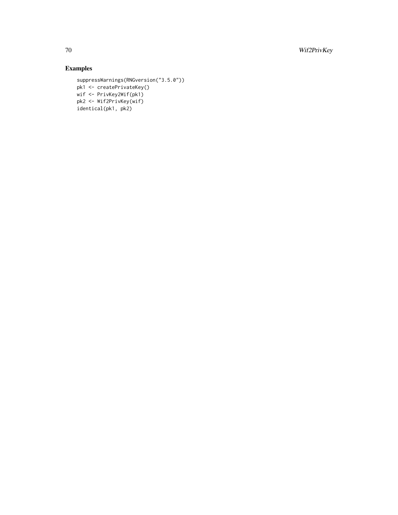70 Wif2PrivKey

# Examples

```
suppressWarnings(RNGversion("3.5.0"))
pk1 <- createPrivateKey()
wif <- PrivKey2Wif(pk1)
pk2 <- Wif2PrivKey(wif)
identical(pk1, pk2)
```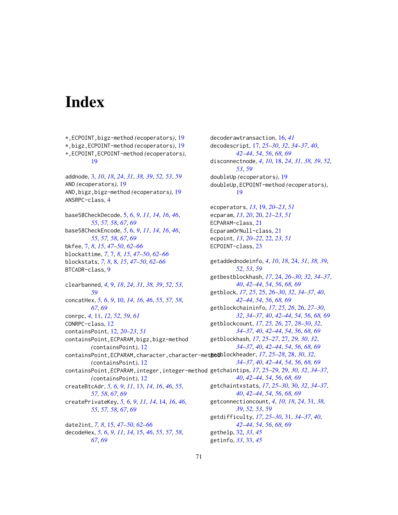# **Index**

\*,ECPOINT,bigz-method *(*ecoperators*)*, [19](#page-18-1) \*,bigz,ECPOINT-method *(*ecoperators*)*, [19](#page-18-1) +,ECPOINT,ECPOINT-method *(*ecoperators*)*, [19](#page-18-1) addnode, [3,](#page-2-1) *[10](#page-9-1)*, *[18](#page-17-1)*, *[24](#page-23-2)*, *[31](#page-30-2)*, *[38,](#page-37-1) [39](#page-38-1)*, *[52,](#page-51-2) [53](#page-52-2)*, *[59](#page-58-1)* AND *(*ecoperators*)*, [19](#page-18-1) AND,bigz,bigz-method *(*ecoperators*)*, [19](#page-18-1) ANSRPC-class, [4](#page-3-1) base58CheckDecode, [5,](#page-4-1) *[6](#page-5-1)*, *[9](#page-8-2)*, *[11](#page-10-1)*, *[14](#page-13-1)*, *[16](#page-15-1)*, *[46](#page-45-1)*, *[55](#page-54-1)*, *[57,](#page-56-2) [58](#page-57-1)*, *[67](#page-66-2)*, *[69](#page-68-1)* base58CheckEncode, *[5](#page-4-1)*, [6,](#page-5-1) *[9](#page-8-2)*, *[11](#page-10-1)*, *[14](#page-13-1)*, *[16](#page-15-1)*, *[46](#page-45-1)*, *[55](#page-54-1)*, *[57,](#page-56-2) [58](#page-57-1)*, *[67](#page-66-2)*, *[69](#page-68-1)* bkfee, [7,](#page-6-2) *[8](#page-7-1)*, *[15](#page-14-2)*, *[47](#page-46-1)[–50](#page-49-1)*, *[62–](#page-61-1)[66](#page-65-1)* blockattime, *[7](#page-6-2)*, [7,](#page-6-2) *[8](#page-7-1)*, *[15](#page-14-2)*, *[47–](#page-46-1)[50](#page-49-1)*, *[62–](#page-61-1)[66](#page-65-1)* blockstats, *[7,](#page-6-2) [8](#page-7-1)*, [8,](#page-7-1) *[15](#page-14-2)*, *[47–](#page-46-1)[50](#page-49-1)*, *[62–](#page-61-1)[66](#page-65-1)* BTCADR-class, [9](#page-8-2) clearbanned, *[4](#page-3-1)*, [9,](#page-8-2) *[18](#page-17-1)*, *[24](#page-23-2)*, *[31](#page-30-2)*, *[38,](#page-37-1) [39](#page-38-1)*, *[52,](#page-51-2) [53](#page-52-2)*, *[59](#page-58-1)* concatHex, *[5,](#page-4-1) [6](#page-5-1)*, *[9](#page-8-2)*, [10,](#page-9-1) *[14](#page-13-1)*, *[16](#page-15-1)*, *[46](#page-45-1)*, *[55](#page-54-1)*, *[57,](#page-56-2) [58](#page-57-1)*, *[67](#page-66-2)*, *[69](#page-68-1)* conrpc, *[4](#page-3-1)*, [11,](#page-10-1) *[12](#page-11-2)*, *[52](#page-51-2)*, *[59](#page-58-1)*, *[61](#page-60-2)* CONRPC-class, [12](#page-11-2) containsPoint, [12,](#page-11-2) *[20–](#page-19-1)[23](#page-22-1)*, *[51](#page-50-1)* containsPoint,ECPARAM,bigz,bigz-method *(*containsPoint*)*, [12](#page-11-2) containsPoint, ECPARAM, character, character-metgetblockheader, [17](#page-16-1), [25](#page-24-1)-[28,](#page-27-1) 28, [30](#page-29-1), [32](#page-31-1), *(*containsPoint*)*, [12](#page-11-2) containsPoint,ECPARAM,integer,integer-method getchaintips, *[17](#page-16-1)*, *[25](#page-24-1)[–29](#page-28-1)*, [29,](#page-28-1) *[30](#page-29-1)*, *[32](#page-31-1)*, *[34](#page-33-1)[–37](#page-36-2)*, *(*containsPoint*)*, [12](#page-11-2) createBtcAdr, *[5,](#page-4-1) [6](#page-5-1)*, *[9](#page-8-2)*, *[11](#page-10-1)*, [13,](#page-12-1) *[14](#page-13-1)*, *[16](#page-15-1)*, *[46](#page-45-1)*, *[55](#page-54-1)*, *[57,](#page-56-2) [58](#page-57-1)*, *[67](#page-66-2)*, *[69](#page-68-1)* createPrivateKey, *[5,](#page-4-1) [6](#page-5-1)*, *[9](#page-8-2)*, *[11](#page-10-1)*, *[14](#page-13-1)*, [14,](#page-13-1) *[16](#page-15-1)*, *[46](#page-45-1)*, *[55](#page-54-1)*, *[57,](#page-56-2) [58](#page-57-1)*, *[67](#page-66-2)*, *[69](#page-68-1)* date2int, *[7,](#page-6-2) [8](#page-7-1)*, [15,](#page-14-2) *[47](#page-46-1)[–50](#page-49-1)*, *[62–](#page-61-1)[66](#page-65-1)*

decodeHex, *[5,](#page-4-1) [6](#page-5-1)*, *[9](#page-8-2)*, *[11](#page-10-1)*, *[14](#page-13-1)*, [15,](#page-14-2) *[46](#page-45-1)*, *[55](#page-54-1)*, *[57,](#page-56-2) [58](#page-57-1)*, *[67](#page-66-2)*, *[69](#page-68-1)*

decoderawtransaction, [16,](#page-15-1) *[41](#page-40-0)* decodescript, [17,](#page-16-1) *[25](#page-24-1)[–30](#page-29-1)*, *[32](#page-31-1)*, *[34](#page-33-1)[–37](#page-36-2)*, *[40](#page-39-1)*, *[42](#page-41-1)[–44](#page-43-1)*, *[54](#page-53-1)*, *[56](#page-55-1)*, *[68,](#page-67-1) [69](#page-68-1)* disconnectnode, *[4](#page-3-1)*, *[10](#page-9-1)*, [18,](#page-17-1) *[24](#page-23-2)*, *[31](#page-30-2)*, *[38,](#page-37-1) [39](#page-38-1)*, *[52,](#page-51-2) [53](#page-52-2)*, *[59](#page-58-1)* doubleUp *(*ecoperators*)*, [19](#page-18-1) doubleUp,ECPOINT-method *(*ecoperators*)*, [19](#page-18-1) ecoperators, *[13](#page-12-1)*, [19,](#page-18-1) *[20](#page-19-1)[–23](#page-22-1)*, *[51](#page-50-1)* ecparam, *[13](#page-12-1)*, *[20](#page-19-1)*, [20,](#page-19-1) *[21](#page-20-2)[–23](#page-22-1)*, *[51](#page-50-1)* ECPARAM-class, [21](#page-20-2) EcparamOrNull-class, [21](#page-20-2) ecpoint, *[13](#page-12-1)*, *[20](#page-19-1)[–22](#page-21-1)*, [22,](#page-21-1) *[23](#page-22-1)*, *[51](#page-50-1)* ECPOINT-class, [23](#page-22-1) getaddednodeinfo, *[4](#page-3-1)*, *[10](#page-9-1)*, *[18](#page-17-1)*, [24,](#page-23-2) *[31](#page-30-2)*, *[38,](#page-37-1) [39](#page-38-1)*, *[52,](#page-51-2) [53](#page-52-2)*, *[59](#page-58-1)* getbestblockhash, *[17](#page-16-1)*, [24,](#page-23-2) *[26](#page-25-1)[–30](#page-29-1)*, *[32](#page-31-1)*, *[34](#page-33-1)[–37](#page-36-2)*, *[40](#page-39-1)*, *[42](#page-41-1)[–44](#page-43-1)*, *[54](#page-53-1)*, *[56](#page-55-1)*, *[68,](#page-67-1) [69](#page-68-1)* getblock, *[17](#page-16-1)*, *[25](#page-24-1)*, [25,](#page-24-1) *[26](#page-25-1)[–30](#page-29-1)*, *[32](#page-31-1)*, *[34](#page-33-1)[–37](#page-36-2)*, *[40](#page-39-1)*, *[42](#page-41-1)[–44](#page-43-1)*, *[54](#page-53-1)*, *[56](#page-55-1)*, *[68,](#page-67-1) [69](#page-68-1)* getblockchaininfo, *[17](#page-16-1)*, *[25,](#page-24-1) [26](#page-25-1)*, [26,](#page-25-1) *[27](#page-26-2)[–30](#page-29-1)*, *[32](#page-31-1)*, *[34](#page-33-1)[–37](#page-36-2)*, *[40](#page-39-1)*, *[42](#page-41-1)[–44](#page-43-1)*, *[54](#page-53-1)*, *[56](#page-55-1)*, *[68,](#page-67-1) [69](#page-68-1)* getblockcount, *[17](#page-16-1)*, *[25,](#page-24-1) [26](#page-25-1)*, [27,](#page-26-2) *[28](#page-27-1)[–30](#page-29-1)*, *[32](#page-31-1)*, *[34](#page-33-1)[–37](#page-36-2)*, *[40](#page-39-1)*, *[42](#page-41-1)[–44](#page-43-1)*, *[54](#page-53-1)*, *[56](#page-55-1)*, *[68,](#page-67-1) [69](#page-68-1)* getblockhash, *[17](#page-16-1)*, *[25](#page-24-1)[–27](#page-26-2)*, [27,](#page-26-2) *[29,](#page-28-1) [30](#page-29-1)*, *[32](#page-31-1)*, *[34](#page-33-1)[–37](#page-36-2)*, *[40](#page-39-1)*, *[42](#page-41-1)[–44](#page-43-1)*, *[54](#page-53-1)*, *[56](#page-55-1)*, *[68,](#page-67-1) [69](#page-68-1) [34](#page-33-1)[–37](#page-36-2)*, *[40](#page-39-1)*, *[42](#page-41-1)[–44](#page-43-1)*, *[54](#page-53-1)*, *[56](#page-55-1)*, *[68,](#page-67-1) [69](#page-68-1) [40](#page-39-1)*, *[42](#page-41-1)[–44](#page-43-1)*, *[54](#page-53-1)*, *[56](#page-55-1)*, *[68,](#page-67-1) [69](#page-68-1)* getchaintxstats, *[17](#page-16-1)*, *[25](#page-24-1)[–30](#page-29-1)*, [30,](#page-29-1) *[32](#page-31-1)*, *[34](#page-33-1)[–37](#page-36-2)*, *[40](#page-39-1)*, *[42](#page-41-1)[–44](#page-43-1)*, *[54](#page-53-1)*, *[56](#page-55-1)*, *[68,](#page-67-1) [69](#page-68-1)* getconnectioncount, *[4](#page-3-1)*, *[10](#page-9-1)*, *[18](#page-17-1)*, *[24](#page-23-2)*, [31,](#page-30-2) *[38,](#page-37-1) [39](#page-38-1)*, *[52,](#page-51-2) [53](#page-52-2)*, *[59](#page-58-1)* getdifficulty, *[17](#page-16-1)*, *[25](#page-24-1)[–30](#page-29-1)*, [31,](#page-30-2) *[34](#page-33-1)[–37](#page-36-2)*, *[40](#page-39-1)*, *[42](#page-41-1)[–44](#page-43-1)*, *[54](#page-53-1)*, *[56](#page-55-1)*, *[68,](#page-67-1) [69](#page-68-1)* gethelp, [32,](#page-31-1) *[33](#page-32-1)*, *[45](#page-44-1)* getinfo, *[33](#page-32-1)*, [33,](#page-32-1) *[45](#page-44-1)*